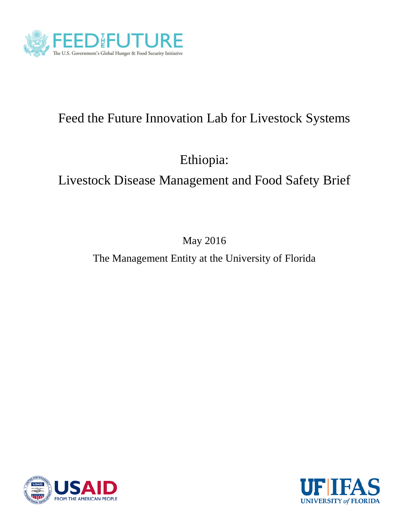

# Feed the Future Innovation Lab for Livestock Systems

Ethiopia:

# Livestock Disease Management and Food Safety Brief

May 2016

The Management Entity at the University of Florida



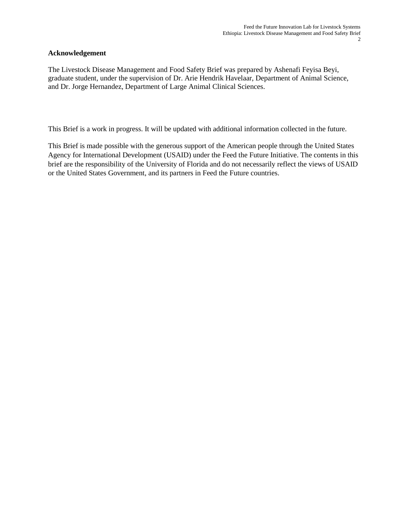#### **Acknowledgement**

The Livestock Disease Management and Food Safety Brief was prepared by Ashenafi Feyisa Beyi, graduate student, under the supervision of Dr. Arie Hendrik Havelaar, Department of Animal Science, and Dr. Jorge Hernandez, Department of Large Animal Clinical Sciences.

This Brief is a work in progress. It will be updated with additional information collected in the future.

This Brief is made possible with the generous support of the American people through the United States Agency for International Development (USAID) under the Feed the Future Initiative. The contents in this brief are the responsibility of the University of Florida and do not necessarily reflect the views of USAID or the United States Government, and its partners in Feed the Future countries.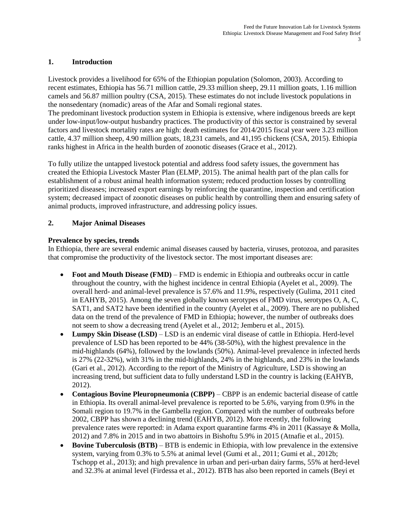#### **1. Introduction**

Livestock provides a livelihood for 65% of the Ethiopian population (Solomon, 2003). According to recent estimates, Ethiopia has 56.71 million cattle, 29.33 million sheep, 29.11 million goats, 1.16 million camels and 56.87 million poultry (CSA, 2015). These estimates do not include livestock populations in the nonsedentary (nomadic) areas of the Afar and Somali regional states.

The predominant livestock production system in Ethiopia is extensive, where indigenous breeds are kept under low-input/low-output husbandry practices. The productivity of this sector is constrained by several factors and livestock mortality rates are high: death estimates for 2014/2015 fiscal year were 3.23 million cattle, 4.37 million sheep, 4.90 million goats, 18,231 camels, and 41,195 chickens (CSA, 2015). Ethiopia ranks highest in Africa in the health burden of zoonotic diseases (Grace et al., 2012).

To fully utilize the untapped livestock potential and address food safety issues, the government has created the Ethiopia Livestock Master Plan (ELMP, 2015). The animal health part of the plan calls for establishment of a robust animal health information system; reduced production losses by controlling prioritized diseases; increased export earnings by reinforcing the quarantine, inspection and certification system; decreased impact of zoonotic diseases on public health by controlling them and ensuring safety of animal products, improved infrastructure, and addressing policy issues.

#### **2. Major Animal Diseases**

#### **Prevalence by species, trends**

In Ethiopia, there are several endemic animal diseases caused by bacteria, viruses, protozoa, and parasites that compromise the productivity of the livestock sector. The most important diseases are:

- **Foot and Mouth Disease (FMD)** FMD is endemic in Ethiopia and outbreaks occur in cattle throughout the country, with the highest incidence in central Ethiopia (Ayelet et al., 2009). The overall herd- and animal-level prevalence is 57.6% and 11.9%, respectively (Gulima, 2011 cited in EAHYB, 2015). Among the seven globally known serotypes of FMD virus, serotypes O, A, C, SAT1, and SAT2 have been identified in the country (Ayelet et al., 2009). There are no published data on the trend of the prevalence of FMD in Ethiopia; however, the number of outbreaks does not seem to show a decreasing trend (Ayelet et al., 2012; Jemberu et al., 2015).
- **Lumpy Skin Disease (LSD)** LSD is an endemic viral disease of cattle in Ethiopia. Herd-level prevalence of LSD has been reported to be 44% (38-50%), with the highest prevalence in the mid-highlands (64%), followed by the lowlands (50%). Animal-level prevalence in infected herds is 27% (22-32%), with 31% in the mid-highlands, 24% in the highlands, and 23% in the lowlands (Gari et al., 2012). According to the report of the Ministry of Agriculture, LSD is showing an increasing trend, but sufficient data to fully understand LSD in the country is lacking (EAHYB, 2012).
- **Contagious Bovine Pleuropneumonia (CBPP)** CBPP is an endemic bacterial disease of cattle in Ethiopia. Its overall animal-level prevalence is reported to be 5.6%, varying from 0.9% in the Somali region to 19.7% in the Gambella region. Compared with the number of outbreaks before 2002, CBPP has shown a declining trend (EAHYB, 2012). More recently, the following prevalence rates were reported: in Adama export quarantine farms 4% in 2011 (Kassaye & Molla, 2012) and 7.8% in 2015 and in two abattoirs in Bishoftu 5.9% in 2015 (Atnafie et al., 2015).
- **Bovine Tuberculosis (BTB)** BTB is endemic in Ethiopia, with low prevalence in the extensive system, varying from 0.3% to 5.5% at animal level (Gumi et al., 2011; Gumi et al., 2012b; Tschopp et al., 2013); and high prevalence in urban and peri-urban dairy farms, 55% at herd-level and 32.3% at animal level (Firdessa et al., 2012). BTB has also been reported in camels (Beyi et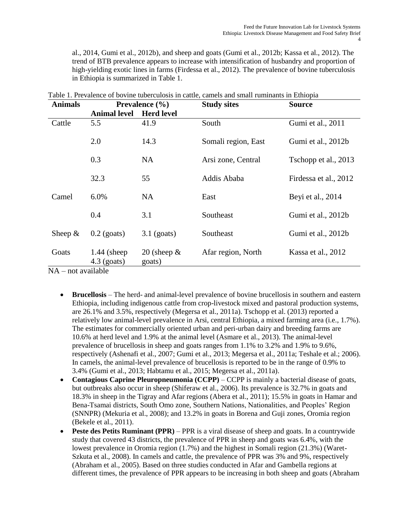al., 2014, Gumi et al., 2012b), and sheep and goats (Gumi et al., 2012b; Kassa et al., 2012). The trend of BTB prevalence appears to increase with intensification of husbandry and proportion of high-yielding exotic lines in farms (Firdessa et al., 2012). The prevalence of bovine tuberculosis in Ethiopia is summarized in Table 1.

| <b>Animals</b>                     | Prevalence $(\% )$              |                          | <b>Study sites</b>  | <b>Source</b>         |  |
|------------------------------------|---------------------------------|--------------------------|---------------------|-----------------------|--|
|                                    | <b>Animal level</b>             | <b>Herd level</b>        |                     |                       |  |
| Cattle                             | 5.5                             | 41.9                     | South               | Gumi et al., 2011     |  |
|                                    | 2.0                             | 14.3                     | Somali region, East | Gumi et al., 2012b    |  |
|                                    | 0.3                             | <b>NA</b>                | Arsi zone, Central  | Tschopp et al., 2013  |  |
|                                    | 32.3                            | 55                       | Addis Ababa         | Firdessa et al., 2012 |  |
| Camel                              | 6.0%                            | <b>NA</b>                | East                | Beyi et al., 2014     |  |
|                                    | 0.4                             | 3.1                      | Southeast           | Gumi et al., 2012b    |  |
| Sheep $\&$                         | $0.2$ (goats)                   | $3.1$ (goats)            | Southeast           | Gumi et al., 2012b    |  |
| Goats<br>$N \Lambda$ not evollable | $1.44$ (sheep)<br>$4.3$ (goats) | 20 (sheep $\&$<br>goats) | Afar region, North  | Kassa et al., 2012    |  |

Table 1. Prevalence of bovine tuberculosis in cattle, camels and small ruminants in Ethiopia

NA – not available

- **Brucellosis** The herd- and animal-level prevalence of bovine brucellosis in southern and eastern Ethiopia, including indigenous cattle from crop-livestock mixed and pastoral production systems, are 26.1% and 3.5%, respectively (Megersa et al., 2011a). Tschopp et al. (2013) reported a relatively low animal-level prevalence in Arsi, central Ethiopia, a mixed farming area (i.e., 1.7%). The estimates for commercially oriented urban and peri-urban dairy and breeding farms are 10.6% at herd level and 1.9% at the animal level (Asmare et al., 2013). The animal-level prevalence of brucellosis in sheep and goats ranges from 1.1% to 3.2% and 1.9% to 9.6%, respectively (Ashenafi et al., 2007; Gumi et al., 2013; Megersa et al., 2011a; Teshale et al.; 2006). In camels, the animal-level prevalence of brucellosis is reported to be in the range of 0.9% to 3.4% (Gumi et al., 2013; Habtamu et al., 2015; Megersa et al., 2011a).
- **Contagious Caprine Pleuropneumonia (CCPP)** CCPP is mainly a bacterial disease of goats, but outbreaks also occur in sheep (Shiferaw et al., 2006). Its prevalence is 32.7% in goats and 18.3% in sheep in the Tigray and Afar regions (Abera et al., 2011); 15.5% in goats in Hamar and Bena-Tsamai districts, South Omo zone, [Southern Nations, Nationalities, and Peoples'](https://en.wikipedia.org/wiki/Southern_Nations,_Nationalities,_and_Peoples%27_Region) Region (SNNPR) (Mekuria et al., 2008); and 13.2% in goats in Borena and Guji zones, Oromia region (Bekele et al., 2011).
- **Peste des Petits Ruminant (PPR)** PPR is a viral disease of sheep and goats. In a countrywide study that covered 43 districts, the prevalence of PPR in sheep and goats was 6.4%, with the lowest prevalence in Oromia region (1.7%) and the highest in Somali region (21.3%) (Waret-Szkuta et al., 2008). In camels and cattle, the prevalence of PPR was 3% and 9%, respectively (Abraham et al., 2005). Based on three studies conducted in Afar and Gambella regions at different times, the prevalence of PPR appears to be increasing in both sheep and goats (Abraham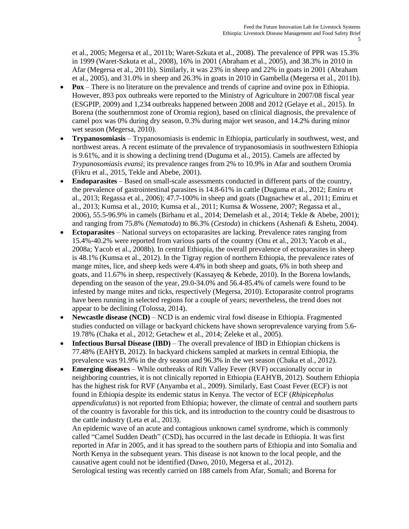et al., 2005; Megersa et al., 2011b; Waret-Szkuta et al., 2008). The prevalence of PPR was 15.3% in 1999 (Waret-Szkuta et al., 2008), 16% in 2001 (Abraham et al., 2005), and 38.3% in 2010 in Afar (Megersa et al., 2011b). Similarly, it was 23% in sheep and 22% in goats in 2001 (Abraham et al., 2005), and 31.0% in sheep and 26.3% in goats in 2010 in Gambella (Megersa et al., 2011b).

- **Pox** There is no literature on the prevalence and trends of caprine and ovine pox in Ethiopia. However, 893 pox outbreaks were reported to the Ministry of Agriculture in 2007/08 fiscal year (ESGPIP, 2009) and 1,234 outbreaks happened between 2008 and 2012 (Gelaye et al., 2015). In Borena (the southernmost zone of Oromia region), based on clinical diagnosis, the prevalence of camel pox was 0% during dry season, 0.3% during major wet season, and 14.2% during minor wet season (Megersa, 2010).
- **Trypanosomiasis** Trypanosomiasis is endemic in Ethiopia, particularly in southwest, west, and northwest areas. A recent estimate of the prevalence of trypanosomiasis in southwestern Ethiopia is 9.61%, and it is showing a declining trend (Duguma et al., 2015). Camels are affected by *Trypanosomiasis evansi*; its prevalence ranges from 2% to 10.9% in Afar and southern Oromia (Fikru et al., 2015, Tekle and Abebe, 2001).
- **Endoparasites** Based on small-scale assessments conducted in different parts of the country, the prevalence of gastrointestinal parasites is 14.8-61% in cattle (Duguma et al., 2012; Emiru et al., 2013; Regassa et al., 2006); 47.7-100% in sheep and goats (Dagnachew et al., 2011; Emiru et al., 2013; Kumsa et al., 2010; Kumsa et al., 2011; Kumsa & Wossene, 2007; Regassa et al., 2006), 55.5-96.9% in camels (Birhanu et al., 2014; Demelash et al., 2014; Tekle & Abebe, 2001); and ranging from 75.8% (*Nematoda*) to 86.3% (*Cestoda*) in chickens (Ashenafi & Eshetu, 2004).
- **Ectoparasites** National surveys on ectoparasites are lacking. Prevalence rates ranging from 15.4%-40.2% were reported from various parts of the country (Onu et al., 2013; Yacob et al., 2008a; Yacob et al., 2008b). In central Ethiopia, the overall prevalence of ectoparasites in sheep is 48.1% (Kumsa et al., 2012). In the Tigray region of northern Ethiopia, the prevalence rates of mange mites, lice, and sheep keds were 4.4% in both sheep and goats, 6% in both sheep and goats, and 11.67% in sheep, respectively (Kassayeq & Kebede, 2010). In the Borena lowlands, depending on the season of the year, 29.0-34.0% and 56.4-85.4% of camels were found to be infested by mange mites and ticks, respectively (Megersa, 2010). Ectoparasite control programs have been running in selected regions for a couple of years; nevertheless, the trend does not appear to be declining (Tolossa, 2014).
- **Newcastle disease (NCD)** NCD is an endemic viral fowl disease in Ethiopia. Fragmented studies conducted on village or backyard chickens have shown seroprevalence varying from 5.6- 19.78% (Chaka et al., 2012; Getachew et al., 2014; Zeleke et al., 2005).
- **Infectious Bursal Disease (IBD)** The overall prevalence of IBD in Ethiopian chickens is 77.48% (EAHYB, 2012). In backyard chickens sampled at markets in central Ethiopia, the prevalence was 91.9% in the dry season and 96.3% in the wet season (Chaka et al., 2012).
- **Emerging diseases** While outbreaks of Rift Valley Fever (RVF) occasionally occur in neighboring countries, it is not clinically reported in Ethiopia (EAHYB, 2012). Southern Ethiopia has the highest risk for RVF (Anyamba et al., 2009). Similarly, East Coast Fever (ECF) is not found in Ethiopia despite its endemic status in Kenya. The vector of ECF (*Rhipicephalus appendiculatus*) is not reported from Ethiopia; however, the climate of central and southern parts of the country is favorable for this tick, and its introduction to the country could be disastrous to the cattle industry (Leta et al., 2013).

An epidemic wave of an acute and contagious unknown camel syndrome, which is commonly called "Camel Sudden Death" (CSD), has occurred in the last decade in Ethiopia. It was first reported in Afar in 2005, and it has spread to the southern parts of Ethiopia and into Somalia and North Kenya in the subsequent years. This disease is not known to the local people, and the causative agent could not be identified (Dawo, 2010, Megersa et al., 2012). Serological testing was recently carried on 188 camels from Afar, Somali; and Borena for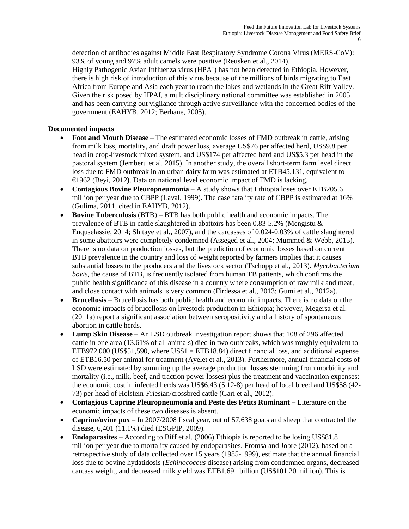detection of antibodies against Middle East Respiratory Syndrome Corona Virus (MERS-CoV): 93% of young and 97% adult camels were positive (Reusken et al., 2014).

Highly Pathogenic Avian Influenza virus (HPAI) has not been detected in Ethiopia. However, there is high risk of introduction of this virus because of the millions of birds migrating to East Africa from Europe and Asia each year to reach the lakes and wetlands in the Great Rift Valley. Given the risk posed by HPAI, a multidisciplinary national committee was established in 2005 and has been carrying out vigilance through active surveillance with the concerned bodies of the government (EAHYB, 2012; Berhane, 2005).

### **Documented impacts**

- **Foot and Mouth Disease** The estimated economic losses of FMD outbreak in cattle, arising from milk loss, mortality, and draft power loss, average US\$76 per affected herd, US\$9.8 per head in crop-livestock mixed system, and US\$174 per affected herd and US\$5.3 per head in the pastoral system (Jemberu et al. 2015). In another study, the overall short-term farm level direct loss due to FMD outbreak in an urban dairy farm was estimated at ETB45,131, equivalent to €1962 (Beyi, 2012). Data on national level economic impact of FMD is lacking.
- **Contagious Bovine Pleuropneumonia** A study shows that Ethiopia loses over ETB205.6 million per year due to CBPP (Laval, 1999). The case fatality rate of CBPP is estimated at 16% (Gulima, 2011, cited in EAHYB, 2012).
- **Bovine Tuberculosis** (BTB) BTB has both public health and economic impacts. The prevalence of BTB in cattle slaughtered in abattoirs has been 0.83-5.2% (Mengistu & Enquselassie, 2014; Shitaye et al., 2007), and the carcasses of 0.024-0.03% of cattle slaughtered in some abattoirs were completely condemned (Asseged et al., 2004; Mummed & Webb, 2015). There is no data on production losses, but the prediction of economic losses based on current BTB prevalence in the country and loss of weight reported by farmers implies that it causes substantial losses to the producers and the livestock sector (Tschopp et al., 2013). *Mycobacterium bovis*, the cause of BTB, is frequently isolated from human TB patients, which confirms the public health significance of this disease in a country where consumption of raw milk and meat, and close contact with animals is very common (Firdessa et al., 2013; Gumi et al., 2012a).
- **Brucellosis** Brucellosis has both public health and economic impacts. There is no data on the economic impacts of brucellosis on livestock production in Ethiopia; however, Megersa et al. (2011a) report a significant association between seropositivity and a history of spontaneous abortion in cattle herds.
- **Lump Skin Disease** An LSD outbreak investigation report shows that 108 of 296 affected cattle in one area (13.61% of all animals) died in two outbreaks, which was roughly equivalent to ETB972,000 (US\$51,590, where US\$1 = ETB18.84) direct financial loss, and additional expense of ETB16.50 per animal for treatment (Ayelet et al., 2013). Furthermore, annual financial costs of LSD were estimated by summing up the average production losses stemming from morbidity and mortality (i.e., milk, beef, and traction power losses) plus the treatment and vaccination expenses: the economic cost in infected herds was US\$6.43 (5.12-8) per head of local breed and US\$58 (42- 73) per head of Holstein-Friesian/crossbred cattle (Gari et al., 2012).
- **Contagious Caprine Pleuropneumonia and Peste des Petits Ruminant** Literature on the economic impacts of these two diseases is absent.
- **Caprine/ovine pox** In 2007/2008 fiscal year, out of 57,638 goats and sheep that contracted the disease, 6,401 (11.1%) died (ESGPIP, 2009).
- **Endoparasites** According to Biff et al. (2006) Ethiopia is reported to be losing US\$81.8 million per year due to mortality caused by endoparasites. Fromsa and Jobre (2012), based on a retrospective study of data collected over 15 years (1985-1999), estimate that the annual financial loss due to bovine hydatidosis (*Echinococcus* disease) arising from condemned organs, decreased carcass weight, and decreased milk yield was ETB1.691 billion (US\$101.20 million). This is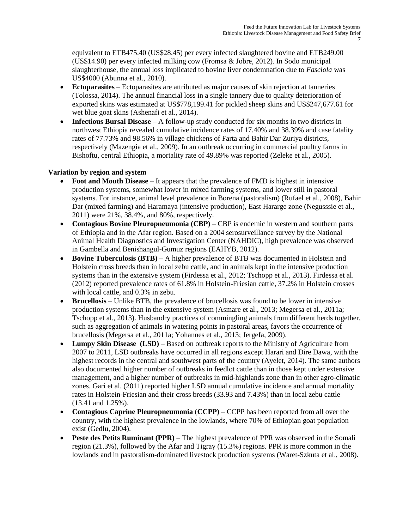equivalent to ETB475.40 (US\$28.45) per every infected slaughtered bovine and ETB249.00 (US\$14.90) per every infected milking cow (Fromsa & Jobre, 2012). In Sodo municipal slaughterhouse, the annual loss implicated to bovine liver condemnation due to *Fasciola* was US\$4000 (Abunna et al., 2010).

- **Ectoparasites** Ectoparasites are attributed as major causes of skin rejection at tanneries (Tolossa, 2014). The annual financial loss in a single tannery due to quality deterioration of exported skins was estimated at US\$778,199.41 for pickled sheep skins and US\$247,677.61 for wet blue goat skins (Ashenafi et al., 2014).
- **Infectious Bursal Disease** A follow-up study conducted for six months in two districts in northwest Ethiopia revealed cumulative incidence rates of 17.40% and 38.39% and case fatality rates of 77.73% and 98.56% in village chickens of Farta and Bahir Dar Zuriya districts, respectively (Mazengia et al., 2009). In an outbreak occurring in commercial poultry farms in Bishoftu, central Ethiopia, a mortality rate of 49.89% was reported (Zeleke et al., 2005).

#### **Variation by region and system**

- **Foot and Mouth Disease** It appears that the prevalence of FMD is highest in intensive production systems, somewhat lower in mixed farming systems, and lower still in pastoral systems. For instance, animal level prevalence in Borena (pastoralism) (Rufael et al., 2008), Bahir Dar (mixed farming) and Haramaya (intensive production), East Hararge zone (Negusssie et al., 2011) were 21%, 38.4%, and 80%, respectively.
- Contagious Bovine Pleuropneumonia (CBP) CBP is endemic in western and southern parts of Ethiopia and in the Afar region. Based on a 2004 serosurveillance survey by the National Animal Health Diagnostics and Investigation Center (NAHDIC), high prevalence was observed in Gambella and Benishangul-Gumuz regions (EAHYB, 2012).
- **Bovine Tuberculosis (BTB)** A higher prevalence of BTB was documented in Holstein and Holstein cross breeds than in local zebu cattle, and in animals kept in the intensive production systems than in the extensive system (Firdessa et al., 2012; Tschopp et al., 2013). Firdessa et al. (2012) reported prevalence rates of 61.8% in Holstein-Friesian cattle, 37.2% in Holstein crosses with local cattle, and 0.3% in zebu.
- **Brucellosis** Unlike BTB, the prevalence of brucellosis was found to be lower in intensive production systems than in the extensive system (Asmare et al., 2013; Megersa et al., 2011a; Tschopp et al., 2013). Husbandry practices of commingling animals from different herds together, such as aggregation of animals in watering points in pastoral areas, favors the occurrence of brucellosis (Megersa et al., 2011a; Yohannes et al., 2013; Jergefa, 2009).
- **Lumpy Skin Disease (LSD)** Based on outbreak reports to the Ministry of Agriculture from 2007 to 2011, LSD outbreaks have occurred in all regions except Harari and Dire Dawa, with the highest records in the central and southwest parts of the country (Ayelet, 2014). The same authors also documented higher number of outbreaks in feedlot cattle than in those kept under extensive management, and a higher number of outbreaks in mid-highlands zone than in other agro-climatic zones. Gari et al. (2011) reported higher LSD annual cumulative incidence and annual mortality rates in Holstein-Friesian and their cross breeds (33.93 and 7.43%) than in local zebu cattle (13.41 and 1.25%).
- **Contagious Caprine Pleuropneumonia** (**CCPP)**  CCPP has been reported from all over the country, with the highest prevalence in the lowlands, where 70% of Ethiopian goat population exist (Gedlu, 2004).
- **Peste des Petits Ruminant (PPR)** The highest prevalence of PPR was observed in the Somali region (21.3%), followed by the Afar and Tigray (15.3%) regions. PPR is more common in the lowlands and in pastoralism-dominated livestock production systems (Waret-Szkuta et al., 2008).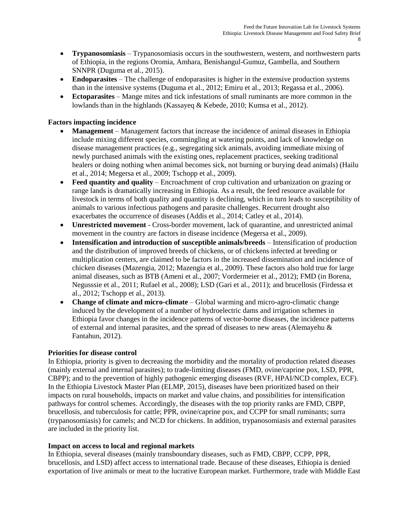- **Trypanosomiasis** Trypanosomiasis occurs in the southwestern, western, and northwestern parts of Ethiopia, in the regions Oromia, Amhara, Benishangul-Gumuz, Gambella, and Southern SNNPR (Duguma et al., 2015).
- **Endoparasites** The challenge of endoparasites is higher in the extensive production systems than in the intensive systems (Duguma et al., 2012; Emiru et al., 2013; Regassa et al., 2006).
- **Ectoparasites** Mange mites and tick infestations of small ruminants are more common in the lowlands than in the highlands (Kassayeq & Kebede, 2010; Kumsa et al., 2012).

#### **Factors impacting incidence**

- **Management** Management factors that increase the incidence of animal diseases in Ethiopia include mixing different species, commingling at watering points, and lack of knowledge on disease management practices (e.g., segregating sick animals, avoiding immediate mixing of newly purchased animals with the existing ones, replacement practices, seeking traditional healers or doing nothing when animal becomes sick, not burning or burying dead animals) (Hailu et al., 2014; Megersa et al., 2009; Tschopp et al., 2009).
- **Feed quantity and quality** Encroachment of crop cultivation and urbanization on grazing or range lands is dramatically increasing in Ethiopia. As a result, the feed resource available for livestock in terms of both quality and quantity is declining, which in turn leads to susceptibility of animals to various infectious pathogens and parasite challenges. Recurrent drought also exacerbates the occurrence of diseases (Addis et al., 2014; Catley et al., 2014).
- **Unrestricted movement** Cross-border movement, lack of quarantine, and unrestricted animal movement in the country are factors in disease incidence (Megersa et al., 2009).
- **Intensification and introduction of susceptible animals/breeds** Intensification of production and the distribution of improved breeds of chickens, or of chickens infected at breeding or multiplication centers, are claimed to be factors in the increased dissemination and incidence of chicken diseases (Mazengia, 2012; Mazengia et al., 2009). These factors also hold true for large animal diseases, such as BTB (Ameni et al., 2007; Vordermeier et al., 2012); FMD (in Borena, Negusssie et al., 2011; Rufael et al., 2008); LSD (Gari et al., 2011); and brucellosis (Firdessa et al., 2012; Tschopp et al., 2013).
- **Change of climate and micro-climate** Global warming and micro-agro-climatic change induced by the development of a number of hydroelectric dams and irrigation schemes in Ethiopia favor changes in the incidence patterns of vector-borne diseases, the incidence patterns of external and internal parasites, and the spread of diseases to new areas (Alemayehu & Fantahun, 2012).

#### **Priorities for disease control**

In Ethiopia, priority is given to decreasing the morbidity and the mortality of production related diseases (mainly external and internal parasites); to trade-limiting diseases (FMD, ovine/caprine pox, LSD, PPR, CBPP); and to the prevention of highly pathogenic emerging diseases (RVF, HPAI/NCD complex, ECF). In the Ethiopia Livestock Master Plan (ELMP, 2015), diseases have been prioritized based on their impacts on rural households, impacts on market and value chains, and possibilities for intensification pathways for control schemes. Accordingly, the diseases with the top priority ranks are FMD, CBPP, brucellosis, and tuberculosis for cattle; PPR, ovine/caprine pox, and CCPP for small ruminants; surra (trypanosomiasis) for camels; and NCD for chickens. In addition, trypanosomiasis and external parasites are included in the priority list.

#### **Impact on access to local and regional markets**

In Ethiopia, several diseases (mainly transboundary diseases, such as FMD, CBPP, CCPP, PPR, brucellosis, and LSD) affect access to international trade. Because of these diseases, Ethiopia is denied exportation of live animals or meat to the lucrative European market. Furthermore, trade with Middle East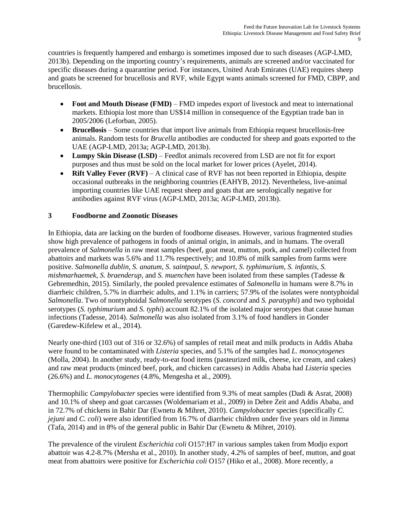countries is frequently hampered and embargo is sometimes imposed due to such diseases (AGP-LMD, 2013b). Depending on the importing country's requirements, animals are screened and/or vaccinated for specific diseases during a quarantine period. For instances, United Arab Emirates (UAE) requires sheep and goats be screened for brucellosis and RVF, while Egypt wants animals screened for FMD, CBPP, and brucellosis.

- **Foot and Mouth Disease (FMD)** FMD impedes export of livestock and meat to international markets. Ethiopia lost more than US\$14 million in consequence of the Egyptian trade ban in 2005/2006 (Leforban, 2005).
- **Brucellosis** Some countries that import live animals from Ethiopia request brucellosis-free animals. Random tests for *Brucella* antibodies are conducted for sheep and goats exported to the UAE (AGP-LMD, 2013a; AGP-LMD, 2013b).
- **Lumpy Skin Disease (LSD)** Feedlot animals recovered from LSD are not fit for export purposes and thus must be sold on the local market for lower prices (Ayelet, 2014).
- **Rift Valley Fever (RVF)** A clinical case of RVF has not been reported in Ethiopia, despite occasional outbreaks in the neighboring countries (EAHYB, 2012). Nevertheless, live-animal importing countries like UAE request sheep and goats that are serologically negative for antibodies against RVF virus (AGP-LMD, 2013a; AGP-LMD, 2013b).

## **3 Foodborne and Zoonotic Diseases**

In Ethiopia, data are lacking on the burden of foodborne diseases. However, various fragmented studies show high prevalence of pathogens in foods of animal origin, in animals, and in humans. The overall prevalence of *Salmonella* in raw meat samples (beef, goat meat, mutton, pork, and camel) collected from abattoirs and markets was 5.6% and 11.7% respectively; and 10.8% of milk samples from farms were positive. *Salmonella dublin*, *S. anatum*, *S. saintpaul*, *S. newport*, *S. typhimurium*, *S. infantis*, *S. mishmarhaemek*, *S. braenderup*, and *S. muenchen* have been isolated from these samples (Tadesse & Gebremedhin, 2015). Similarly, the pooled prevalence estimates of *Salmonella* in humans were 8.7% in diarrheic children, 5.7% in diarrheic adults, and 1.1% in carriers; 57.9% of the isolates were nontyphoidal *Salmonella*. Two of nontyphoidal *Salmonella* serotypes (*S. concord* and *S. paratyphi*) and two typhoidal serotypes (*S. typhimurium* and *S. typhi*) account 82.1% of the isolated major serotypes that cause human infections (Tadesse, 2014). *Salmonella* was also isolated from 3.1% of food handlers in Gonder (Garedew-Kifelew et al., 2014).

Nearly one-third (103 out of 316 or 32.6%) of samples of retail meat and milk products in Addis Ababa were found to be contaminated with *Listeria* species, and 5.1% of the samples had *L. monocytogenes* (Molla, 2004). In another study, ready-to-eat food items (pasteurized milk, cheese, ice cream, and cakes) and raw meat products (minced beef, pork, and chicken carcasses) in Addis Ababa had *Listeria* species (26.6%) and *L. monocytogenes* (4.8%, Mengesha et al., 2009).

Thermophilic *Campylobacter* species were identified from 9.3% of meat samples (Dadi & Asrat, 2008) and 10.1% of sheep and goat carcasses (Woldemariam et al., 2009) in Debre Zeit and Addis Ababa, and in 72.7% of chickens in Bahir Dar (Ewnetu & Mihret, 2010). *Campylobacter* species (specifically *C. jejuni* and *C. coli*) were also identified from 16.7% of diarrheic children under five years old in Jimma (Tafa, 2014) and in 8% of the general public in Bahir Dar (Ewnetu & Mihret, 2010).

The prevalence of the virulent *Escherichia coli* O157:H7 in various samples taken from Modjo export abattoir was 4.2-8.7% (Mersha et al., 2010). In another study, 4.2% of samples of beef, mutton, and goat meat from abattoirs were positive for *Escherichia coli* O157 (Hiko et al., 2008). More recently, a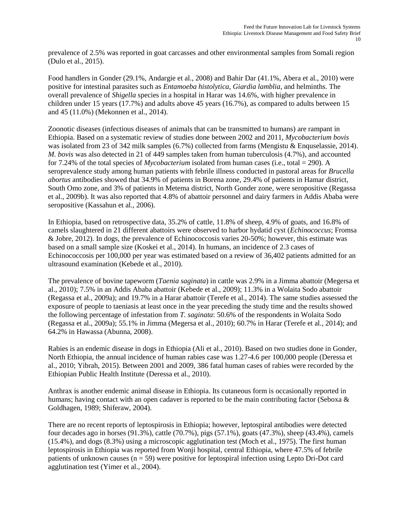prevalence of 2.5% was reported in goat carcasses and other environmental samples from Somali region (Dulo et al., 2015).

Food handlers in Gonder (29.1%, Andargie et al., 2008) and Bahir Dar (41.1%, Abera et al., 2010) were positive for intestinal parasites such as *Entamoeba histolytica*, *Giardia lamblia*, and helminths. The overall prevalence of *Shigella* species in a hospital in Harar was 14.6%, with higher prevalence in children under 15 years (17.7%) and adults above 45 years (16.7%), as compared to adults between 15 and 45 (11.0%) (Mekonnen et al., 2014).

Zoonotic diseases (infectious diseases of animals that can be transmitted to humans) are rampant in Ethiopia. Based on a systematic review of studies done between 2002 and 2011, *Mycobacterium bovis* was isolated from 23 of 342 milk samples (6.7%) collected from farms (Mengistu & Enquselassie, 2014). *M. bovis* was also detected in 21 of 449 samples taken from human tuberculosis (4.7%), and accounted for 7.24% of the total species of *Mycobacterium* isolated from human cases (i.e., total = 290). A seroprevalence study among human patients with febrile illness conducted in pastoral areas for *Brucella abortus* antibodies showed that 34.9% of patients in Borena zone, 29.4% of patients in Hamar district, South Omo zone, and 3% of patients in Metema district, North Gonder zone, were seropositive (Regassa et al., 2009b). It was also reported that 4.8% of abattoir personnel and dairy farmers in Addis Ababa were seropositive (Kassahun et al., 2006).

In Ethiopia, based on retrospective data, 35.2% of cattle, 11.8% of sheep, 4.9% of goats, and 16.8% of camels slaughtered in 21 different abattoirs were observed to harbor hydatid cyst (*Echinococcus*; Fromsa & Jobre, 2012). In dogs, the prevalence of Echinococcosis varies 20-50%; however, this estimate was based on a small sample size (Koskei et al., 2014). In humans, an incidence of 2.3 cases of Echinococcosis per 100,000 per year was estimated based on a review of 36,402 patients admitted for an ultrasound examination (Kebede et al., 2010).

The prevalence of bovine tapeworm (*Taenia saginata*) in cattle was 2.9% in a Jimma abattoir (Megersa et al., 2010); 7.5% in an Addis Ababa abattoir (Kebede et al., 2009); 11.3% in a Wolaita Sodo abattoir (Regassa et al., 2009a); and 19.7% in a Harar abattoir (Terefe et al., 2014). The same studies assessed the exposure of people to taeniasis at least once in the year preceding the study time and the results showed the following percentage of infestation from *T. saginata*: 50.6% of the respondents in Wolaita Sodo (Regassa et al., 2009a); 55.1% in Jimma (Megersa et al., 2010); 60.7% in Harar (Terefe et al., 2014); and 64.2% in Hawassa (Abunna, 2008).

Rabies is an endemic disease in dogs in Ethiopia (Ali et al., 2010). Based on two studies done in Gonder, North Ethiopia, the annual incidence of human rabies case was 1.27-4.6 per 100,000 people (Deressa et al., 2010; Yibrah, 2015). Between 2001 and 2009, 386 fatal human cases of rabies were recorded by the Ethiopian Public Health Institute (Deressa et al., 2010).

Anthrax is another endemic animal disease in Ethiopia. Its cutaneous form is occasionally reported in humans; having contact with an open cadaver is reported to be the main contributing factor (Seboxa & Goldhagen, 1989; Shiferaw, 2004).

There are no recent reports of leptospirosis in Ethiopia; however, leptospiral antibodies were detected four decades ago in horses (91.3%), cattle (70.7%), pigs (57.1%), goats (47.3%), sheep (43.4%), camels (15.4%), and dogs (8.3%) using a microscopic agglutination test (Moch et al., 1975). The first human leptospirosis in Ethiopia was reported from Wonji hospital, central Ethiopia, where 47.5% of febrile patients of unknown causes  $(n = 59)$  were positive for leptospiral infection using Lepto Dri-Dot card agglutination test (Yimer et al., 2004).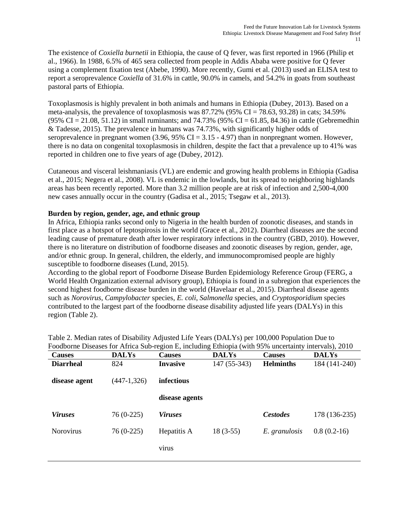The existence of *Coxiella burnetii* in Ethiopia, the cause of Q fever, was first reported in 1966 (Philip et al., 1966). In 1988, 6.5% of 465 sera collected from people in Addis Ababa were positive for Q fever using a complement fixation test (Abebe, 1990). More recently, Gumi et al. (2013) used an ELISA test to report a seroprevalence *Coxiella* of 31.6% in cattle, 90.0% in camels, and 54.2% in goats from southeast pastoral parts of Ethiopia.

Toxoplasmosis is highly prevalent in both animals and humans in Ethiopia (Dubey, 2013). Based on a meta-analysis, the prevalence of toxoplasmosis was  $87.72\%$  (95% CI = 78.63, 93.28) in cats; 34.59%  $(95\% \text{ CI} = 21.08, 51.12)$  in small ruminants; and 74.73%  $(95\% \text{ CI} = 61.85, 84.36)$  in cattle (Gebremedhin & Tadesse, 2015). The prevalence in humans was 74.73%, with significantly higher odds of seroprevalence in pregnant women  $(3.96, 95\% \text{ CI} = 3.15 - 4.97)$  than in nonpregnant women. However, there is no data on congenital toxoplasmosis in children, despite the fact that a prevalence up to 41% was reported in children one to five years of age (Dubey, 2012).

Cutaneous and visceral leishmaniasis (VL) are endemic and growing health problems in Ethiopia (Gadisa et al., 2015; Negera et al., 2008). VL is endemic in the lowlands, but its spread to neighboring highlands areas has been recently reported. More than 3.2 million people are at risk of infection and 2,500-4,000 new cases annually occur in the country (Gadisa et al., 2015; Tsegaw et al., 2013).

#### **Burden by region, gender, age, and ethnic group**

In Africa, Ethiopia ranks second only to Nigeria in the health burden of zoonotic diseases, and stands in first place as a hotspot of leptospirosis in the world (Grace et al., 2012). Diarrheal diseases are the second leading cause of premature death after lower respiratory infections in the country (GBD, 2010). However, there is no literature on distribution of foodborne diseases and zoonotic diseases by region, gender, age, and/or ethnic group. In general, children, the elderly, and immunocompromised people are highly susceptible to foodborne diseases (Lund, 2015).

According to the global report of Foodborne Disease Burden Epidemiology Reference Group (FERG, a World Health Organization external advisory group), Ethiopia is found in a subregion that experiences the second highest foodborne disease burden in the world (Havelaar et al., 2015). Diarrheal disease agents such as *Norovirus*, *Campylobacter* species, *E. coli*, *Salmonella* species, and *Cryptosporidium* species contributed to the largest part of the foodborne disease disability adjusted life years (DALYs) in this region (Table 2).

| <b>Causes</b>    | <b>DALYs</b>  | <b>Causes</b>   | <b>DALYs</b> | <b>Causes</b>    | <b>DALYs</b>  |
|------------------|---------------|-----------------|--------------|------------------|---------------|
| <b>Diarrheal</b> | 824           | <b>Invasive</b> | 147 (55-343) | <b>Helminths</b> | 184 (141-240) |
| disease agent    | $(447-1,326)$ | infectious      |              |                  |               |
|                  |               | disease agents  |              |                  |               |
| <b>Viruses</b>   | $76(0-225)$   | <b>Viruses</b>  |              | <b>Cestodes</b>  | 178 (136-235) |
| <b>Norovirus</b> | $76(0-225)$   | Hepatitis A     | $18(3-55)$   | E. granulosis    | $0.8(0.2-16)$ |
|                  |               | virus           |              |                  |               |
|                  |               |                 |              |                  |               |

| Table 2. Median rates of Disability Adjusted Life Years (DALYs) per 100,000 Population Due to         |  |
|-------------------------------------------------------------------------------------------------------|--|
| Foodborne Diseases for Africa Sub-region E, including Ethiopia (with 95% uncertainty intervals), 2010 |  |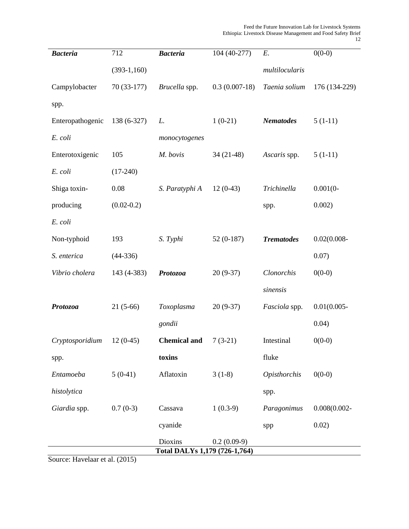| <b>Bacteria</b>  | 712            | <b>Bacteria</b>               | 104 (40-277)    | $E$ .             | $0(0-0)$        |
|------------------|----------------|-------------------------------|-----------------|-------------------|-----------------|
|                  | $(393-1,160)$  |                               |                 | multilocularis    |                 |
| Campylobacter    | 70 (33-177)    | Brucella spp.                 | $0.3(0.007-18)$ | Taenia solium     | 176 (134-229)   |
| spp.             |                |                               |                 |                   |                 |
| Enteropathogenic | 138 (6-327)    | L.                            | $1(0-21)$       | <b>Nematodes</b>  | $5(1-11)$       |
| E. coli          |                | monocytogenes                 |                 |                   |                 |
| Enterotoxigenic  | 105            | M. bovis                      | $34(21-48)$     | Ascaris spp.      | $5(1-11)$       |
| E. coli          | $(17-240)$     |                               |                 |                   |                 |
| Shiga toxin-     | 0.08           | S. Paratyphi A                | $12(0-43)$      | Trichinella       | $0.001(0-$      |
| producing        | $(0.02 - 0.2)$ |                               |                 | spp.              | 0.002)          |
| E. coli          |                |                               |                 |                   |                 |
| Non-typhoid      | 193            | S. Typhi                      | $52(0-187)$     | <b>Trematodes</b> | $0.02(0.008 -$  |
| S. enterica      | $(44-336)$     |                               |                 |                   | 0.07)           |
| Vibrio cholera   | 143 (4-383)    | Protozoa                      | $20(9-37)$      | Clonorchis        | $0(0-0)$        |
|                  |                |                               |                 | sinensis          |                 |
| Protozoa         | $21(5-66)$     | Toxoplasma                    | $20(9-37)$      | Fasciola spp.     | $0.01(0.005 -$  |
|                  |                | gondii                        |                 |                   | 0.04)           |
| Cryptosporidium  | $12(0-45)$     | <b>Chemical and</b>           | $7(3-21)$       | Intestinal        | $0(0-0)$        |
| spp.             |                | toxins                        |                 | fluke             |                 |
| Entamoeba        | $5(0-41)$      | Aflatoxin                     | $3(1-8)$        | Opisthorchis      | $0(0-0)$        |
| histolytica      |                |                               |                 | spp.              |                 |
| Giardia spp.     | $0.7(0-3)$     | Cassava                       | $1(0.3-9)$      | Paragonimus       | $0.008(0.002 -$ |
|                  |                | cyanide                       |                 | spp               | 0.02)           |
|                  |                | Dioxins                       | $0.2(0.09-9)$   |                   |                 |
|                  |                | Total DALYs 1,179 (726-1,764) |                 |                   |                 |

Source: Havelaar et al. (2015)

12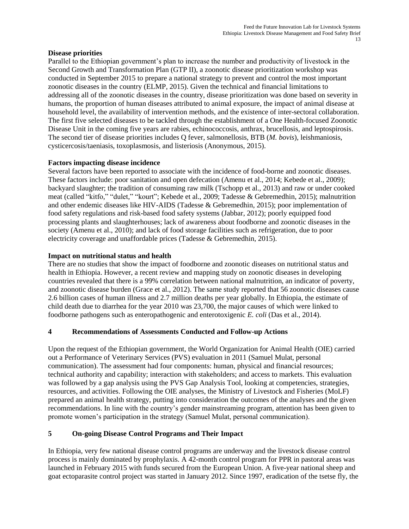#### **Disease priorities**

Parallel to the Ethiopian government's plan to increase the number and productivity of livestock in the Second Growth and Transformation Plan (GTP II), a zoonotic disease prioritization workshop was conducted in September 2015 to prepare a national strategy to prevent and control the most important zoonotic diseases in the country (ELMP, 2015). Given the technical and financial limitations to addressing all of the zoonotic diseases in the country, disease prioritization was done based on severity in humans, the proportion of human diseases attributed to animal exposure, the impact of animal disease at household level, the availability of intervention methods, and the existence of inter-sectoral collaboration. The first five selected diseases to be tackled through the establishment of a One Health-focused Zoonotic Disease Unit in the coming five years are rabies, echinococcosis, anthrax, brucellosis, and leptospirosis. The second tier of disease priorities includes Q fever, salmonellosis, BTB (*M. bovis*), leishmaniosis, cysticercosis/taeniasis, toxoplasmosis, and listeriosis (Anonymous, 2015).

#### **Factors impacting disease incidence**

Several factors have been reported to associate with the incidence of food-borne and zoonotic diseases. These factors include: poor sanitation and open defecation (Amenu et al., 2014; Kebede et al., 2009); backyard slaughter; the tradition of consuming raw milk (Tschopp et al., 2013) and raw or under cooked meat (called "kitfo," "dulet," "kourt"; Kebede et al., 2009; Tadesse & Gebremedhin, 2015); malnutrition and other endemic diseases like HIV-AIDS (Tadesse & Gebremedhin, 2015); poor implementation of food safety regulations and risk-based food safety systems (Jabbar, 2012); poorly equipped food processing plants and slaughterhouses; lack of awareness about foodborne and zoonotic diseases in the society (Amenu et al., 2010); and lack of food storage facilities such as refrigeration, due to poor electricity coverage and unaffordable prices (Tadesse & Gebremedhin, 2015).

#### **Impact on nutritional status and health**

There are no studies that show the impact of foodborne and zoonotic diseases on nutritional status and health in Ethiopia. However, a recent review and mapping study on zoonotic diseases in developing countries revealed that there is a 99% correlation between national malnutrition, an indicator of poverty, and zoonotic disease burden (Grace et al., 2012). The same study reported that 56 zoonotic diseases cause 2.6 billion cases of human illness and 2.7 million deaths per year globally. In Ethiopia, the estimate of child death due to diarrhea for the year 2010 was 23,700, the major causes of which were linked to foodborne pathogens such as enteropathogenic and enterotoxigenic *E. coli* (Das et al., 2014).

#### **4 Recommendations of Assessments Conducted and Follow-up Actions**

Upon the request of the Ethiopian government, the World Organization for Animal Health (OIE) carried out a Performance of Veterinary Services (PVS) evaluation in 2011 (Samuel Mulat, personal communication). The assessment had four components: human, physical and financial resources; technical authority and capability; interaction with stakeholders; and access to markets. This evaluation was followed by a gap analysis using the PVS Gap Analysis Tool, looking at competencies, strategies, resources, and activities. Following the OIE analyses, the Ministry of Livestock and Fisheries (MoLF) prepared an animal health strategy, putting into consideration the outcomes of the analyses and the given recommendations. In line with the country's gender mainstreaming program, attention has been given to promote women's participation in the strategy (Samuel Mulat, personal communication).

### **5 On-going Disease Control Programs and Their Impact**

In Ethiopia, very few national disease control programs are underway and the livestock disease control process is mainly dominated by prophylaxis. A 42-month control program for PPR in pastoral areas was launched in February 2015 with funds secured from the European Union. A five-year national sheep and goat ectoparasite control project was started in January 2012. Since 1997, eradication of the tsetse fly, the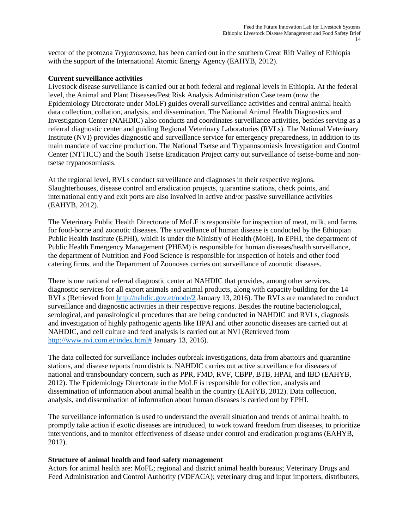vector of the protozoa *Trypanosoma*, has been carried out in the southern Great Rift Valley of Ethiopia with the support of the International Atomic Energy Agency (EAHYB, 2012).

#### **Current surveillance activities**

Livestock disease surveillance is carried out at both federal and regional levels in Ethiopia. At the federal level, the Animal and Plant Diseases/Pest Risk Analysis Administration Case team (now the Epidemiology Directorate under MoLF) guides overall surveillance activities and central animal health data collection, collation, analysis, and dissemination. The National Animal Health Diagnostics and Investigation Center (NAHDIC) also conducts and coordinates surveillance activities, besides serving as a referral diagnostic center and guiding Regional Veterinary Laboratories (RVLs). The National Veterinary Institute (NVI) provides diagnostic and surveillance service for emergency preparedness, in addition to its main mandate of vaccine production. The National Tsetse and Trypanosomiasis Investigation and Control Center (NTTICC) and the South Tsetse Eradication Project carry out surveillance of tsetse-borne and nontsetse trypanosomiasis.

At the regional level, RVLs conduct surveillance and diagnoses in their respective regions. Slaughterhouses, disease control and eradication projects, quarantine stations, check points, and international entry and exit ports are also involved in active and/or passive surveillance activities (EAHYB, 2012).

The Veterinary Public Health Directorate of MoLF is responsible for inspection of meat, milk, and farms for food-borne and zoonotic diseases. The surveillance of human disease is conducted by the Ethiopian Public Health Institute (EPHI), which is under the Ministry of Health (MoH). In EPHI, the department of Public Health Emergency Management (PHEM) is responsible for human diseases/health surveillance, the department of Nutrition and Food Science is responsible for inspection of hotels and other food catering firms, and the Department of Zoonoses carries out surveillance of zoonotic diseases.

There is one national referral diagnostic center at NAHDIC that provides, among other services, diagnostic services for all export animals and animal products, along with capacity building for the 14 RVLs (Retrieved from<http://nahdic.gov.et/node/2> January 13, 2016). The RVLs are mandated to conduct surveillance and diagnostic activities in their respective regions. Besides the routine bacteriological, serological, and parasitological procedures that are being conducted in NAHDIC and RVLs, diagnosis and investigation of highly pathogenic agents like HPAI and other zoonotic diseases are carried out at NAHDIC, and cell culture and feed analysis is carried out at NVI (Retrieved from [http://www.nvi.com.et/index.html#](http://www.nvi.com.et/index.html) January 13, 2016).

The data collected for surveillance includes outbreak investigations, data from abattoirs and quarantine stations, and disease reports from districts. NAHDIC carries out active surveillance for diseases of national and transboundary concern, such as PPR, FMD, RVF, CBPP, BTB, HPAI, and IBD (EAHYB, 2012). The Epidemiology Directorate in the MoLF is responsible for collection, analysis and dissemination of information about animal health in the country (EAHYB, 2012). Data collection, analysis, and dissemination of information about human diseases is carried out by EPHI.

The surveillance information is used to understand the overall situation and trends of animal health, to promptly take action if exotic diseases are introduced, to work toward freedom from diseases, to prioritize interventions, and to monitor effectiveness of disease under control and eradication programs (EAHYB, 2012).

#### **Structure of animal health and food safety management**

Actors for animal health are: MoFL; regional and district animal health bureaus; Veterinary Drugs and Feed Administration and Control Authority (VDFACA); veterinary drug and input importers, distributers,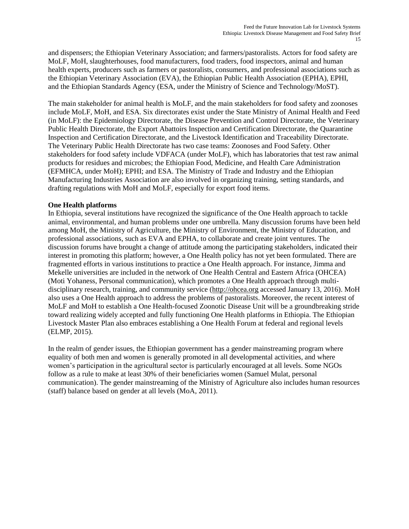and dispensers; the Ethiopian Veterinary Association; and farmers/pastoralists. Actors for food safety are MoLF, MoH, slaughterhouses, food manufacturers, food traders, food inspectors, animal and human health experts, producers such as farmers or pastoralists, consumers, and professional associations such as the Ethiopian Veterinary Association (EVA), the Ethiopian Public Health Association (EPHA), EPHI, and the Ethiopian Standards Agency (ESA, under the Ministry of Science and Technology/MoST).

The main stakeholder for animal health is MoLF, and the main stakeholders for food safety and zoonoses include MoLF, MoH, and ESA. Six directorates exist under the State Ministry of Animal Health and Feed (in MoLF): the Epidemiology Directorate, the Disease Prevention and Control Directorate, the Veterinary Public Health Directorate, the Export Abattoirs Inspection and Certification Directorate, the Quarantine Inspection and Certification Directorate, and the Livestock Identification and Traceability Directorate. The Veterinary Public Health Directorate has two case teams: Zoonoses and Food Safety. Other stakeholders for food safety include VDFACA (under MoLF), which has laboratories that test raw animal products for residues and microbes; the Ethiopian Food, Medicine, and Health Care Administration (EFMHCA, under MoH); EPHI; and ESA. The Ministry of Trade and Industry and the Ethiopian Manufacturing Industries Association are also involved in organizing training, setting standards, and drafting regulations with MoH and MoLF, especially for export food items.

#### **One Health platforms**

In Ethiopia, several institutions have recognized the significance of the One Health approach to tackle animal, environmental, and human problems under one umbrella. Many discussion forums have been held among MoH, the Ministry of Agriculture, the Ministry of Environment, the Ministry of Education, and professional associations, such as EVA and EPHA, to collaborate and create joint ventures. The discussion forums have brought a change of attitude among the participating stakeholders, indicated their interest in promoting this platform; however, a One Health policy has not yet been formulated. There are fragmented efforts in various institutions to practice a One Health approach. For instance, Jimma and Mekelle universities are included in the network of One Health Central and Eastern Africa (OHCEA) (Moti Yohaness, Personal communication), which promotes a One Health approach through multidisciplinary research, training, and community service [\(http://ohcea.org](http://ohcea.org/) accessed January 13, 2016). MoH also uses a One Health approach to address the problems of pastoralists. Moreover, the recent interest of MoLF and MoH to establish a One Health-focused Zoonotic Disease Unit will be a groundbreaking stride toward realizing widely accepted and fully functioning One Health platforms in Ethiopia. The Ethiopian Livestock Master Plan also embraces establishing a One Health Forum at federal and regional levels (ELMP, 2015).

In the realm of gender issues, the Ethiopian government has a gender mainstreaming program where equality of both men and women is generally promoted in all developmental activities, and where women's participation in the agricultural sector is particularly encouraged at all levels. Some NGOs follow as a rule to make at least 30% of their beneficiaries women (Samuel Mulat, personal communication). The gender mainstreaming of the Ministry of Agriculture also includes human resources (staff) balance based on gender at all levels (MoA, 2011).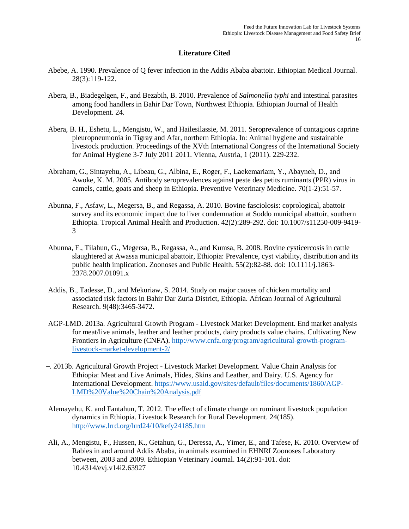#### **Literature Cited**

- Abebe, A. 1990. Prevalence of Q fever infection in the Addis Ababa abattoir. Ethiopian Medical Journal. 28(3):119-122.
- Abera, B., Biadegelgen, F., and Bezabih, B. 2010. Prevalence of *Salmonella typhi* and intestinal parasites among food handlers in Bahir Dar Town, Northwest Ethiopia. Ethiopian Journal of Health Development. 24.
- Abera, B. H., Eshetu, L., Mengistu, W., and Hailesilassie, M. 2011. Seroprevalence of contagious caprine pleuropneumonia in Tigray and Afar, northern Ethiopia. In: Animal hygiene and sustainable livestock production*.* Proceedings of the XVth International Congress of the International Society for Animal Hygiene 3-7 July 2011 2011. Vienna, Austria, [1](http://www.cabdirect.org/search.html?q=do%3A%22Animal+hygiene+and+sustainable+livestock+production.+Proceedings+of+the+XVth+International+Congress+of+the+International+Society+for+Animal+Hygiene%2C+Vienna%2C+Austria%2C+3-7+July+2011%2C+Volume+1%22) (2011). 229-232.
- Abraham, G., Sintayehu, A., Libeau, G., Albina, E., Roger, F., Laekemariam, Y., Abayneh, D., and Awoke, K. M. 2005. Antibody seroprevalences against peste des petits ruminants (PPR) virus in camels, cattle, goats and sheep in Ethiopia. Preventive Veterinary Medicine. 70(1-2):51-57.
- Abunna, F., Asfaw, L., Megersa, B., and Regassa, A. 2010. Bovine fasciolosis: coprological, abattoir survey and its economic impact due to liver condemnation at Soddo municipal abattoir, southern Ethiopia. Tropical Animal Health and Production. 42(2):289-292. doi: 10.1007/s11250-009-9419- 3
- Abunna, F., Tilahun, G., Megersa, B., Regassa, A., and Kumsa, B. 2008. Bovine cysticercosis in cattle slaughtered at Awassa municipal abattoir, Ethiopia: Prevalence, cyst viability, distribution and its public health implication. Zoonoses and Public Health. 55(2):82-88. doi: 10.1111/j.1863- 2378.2007.01091.x
- Addis, B., Tadesse, D., and Mekuriaw, S. 2014. Study on major causes of chicken mortality and associated risk factors in Bahir Dar Zuria District, Ethiopia. African Journal of Agricultural Research. 9(48):3465-3472.
- AGP-LMD. 2013a. Agricultural Growth Program Livestock Market Development. End market analysis for meat/live animals, leather and leather products, dairy products value chains. Cultivating New Frontiers in Agriculture (CNFA). [http://www.cnfa.org/program/agricultural-growth-program](http://www.cnfa.org/program/agricultural-growth-program-livestock-market-development-2/)[livestock-market-development-2/](http://www.cnfa.org/program/agricultural-growth-program-livestock-market-development-2/)
- ̶. 2013b. Agricultural Growth Project Livestock Market Development. Value Chain Analysis for Ethiopia: Meat and Live Animals, Hides, Skins and Leather, and Dairy. U.S. Agency for International Development[. https://www.usaid.gov/sites/default/files/documents/1860/AGP-](https://www.usaid.gov/sites/default/files/documents/1860/AGP-LMD%20Value%20Chain%20Analysis.pdf)[LMD%20Value%20Chain%20Analysis.pdf](https://www.usaid.gov/sites/default/files/documents/1860/AGP-LMD%20Value%20Chain%20Analysis.pdf)
- Alemayehu, K. and Fantahun, T. 2012. The effect of climate change on ruminant livestock population dynamics in Ethiopia. Livestock Research for Rural Development. 24(185). <http://www.lrrd.org/lrrd24/10/kefy24185.htm>
- Ali, A., Mengistu, F., Hussen, K., Getahun, G., Deressa, A., Yimer, E., and Tafese, K. 2010. Overview of Rabies in and around Addis Ababa, in animals examined in EHNRI Zoonoses Laboratory between, 2003 and 2009. Ethiopian Veterinary Journal. 14(2):91-101. doi: 10.4314/evj.v14i2.63927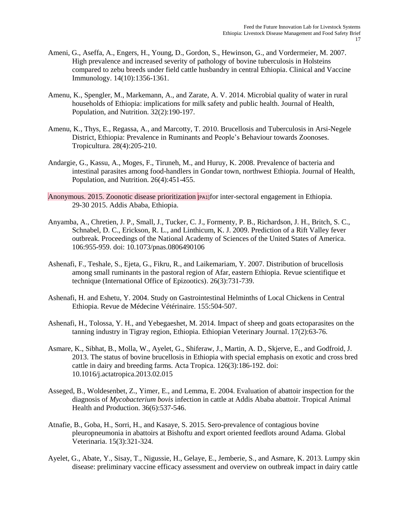- Ameni, G., Aseffa, A., Engers, H., Young, D., Gordon, S., Hewinson, G., and Vordermeier, M. 2007. High prevalence and increased severity of pathology of bovine tuberculosis in Holsteins compared to zebu breeds under field cattle husbandry in central Ethiopia. Clinical and Vaccine Immunology. 14(10):1356-1361.
- Amenu, K., Spengler, M., Markemann, A., and Zarate, A. V. 2014. Microbial quality of water in rural households of Ethiopia: implications for milk safety and public health. Journal of Health, Population, and Nutrition. 32(2):190-197.
- Amenu, K., Thys, E., Regassa, A., and Marcotty, T. 2010. Brucellosis and Tuberculosis in Arsi-Negele District, Ethiopia: Prevalence in Ruminants and People's Behaviour towards Zoonoses. Tropicultura. 28(4):205-210.
- Andargie, G., Kassu, A., Moges, F., Tiruneh, M., and Huruy, K. 2008. Prevalence of bacteria and intestinal parasites among food-handlers in Gondar town, northwest Ethiopia. Journal of Health, Population, and Nutrition. 26(4):451-455.
- Anonymous. 2015. Zoonotic disease prioritization [PA1]for inter-sectoral engagement in Ethiopia. 29-30 2015. Addis Ababa, Ethiopia.
- Anyamba, A., Chretien, J. P., Small, J., Tucker, C. J., Formenty, P. B., Richardson, J. H., Britch, S. C., Schnabel, D. C., Erickson, R. L., and Linthicum, K. J. 2009. Prediction of a Rift Valley fever outbreak. Proceedings of the National Academy of Sciences of the United States of America. 106:955-959. doi: 10.1073/pnas.0806490106
- Ashenafi, F., Teshale, S., Ejeta, G., Fikru, R., and Laikemariam, Y. 2007. Distribution of brucellosis among small ruminants in the pastoral region of Afar, eastern Ethiopia. Revue scientifique et technique (International Office of Epizootics). 26(3):731-739.
- Ashenafi, H. and Eshetu, Y. 2004. Study on Gastrointestinal Helminths of Local Chickens in Central Ethiopia. Revue de Médecine Vétérinaire. 155:504-507.
- Ashenafi, H., Tolossa, Y. H., and Yebegaeshet, M. 2014. Impact of sheep and goats ectoparasites on the tanning industry in Tigray region, Ethiopia. Ethiopian Veterinary Journal. 17(2):63-76.
- Asmare, K., Sibhat, B., Molla, W., Ayelet, G., Shiferaw, J., Martin, A. D., Skjerve, E., and Godfroid, J. 2013. The status of bovine brucellosis in Ethiopia with special emphasis on exotic and cross bred cattle in dairy and breeding farms. Acta Tropica. 126(3):186-192. doi: 10.1016/j.actatropica.2013.02.015
- Asseged, B., Woldesenbet, Z., Yimer, E., and Lemma, E. 2004. Evaluation of abattoir inspection for the diagnosis of *Mycobacterium bovis* infection in cattle at Addis Ababa abattoir. Tropical Animal Health and Production. 36(6):537-546.
- Atnafie, B., Goba, H., Sorri, H., and Kasaye, S. 2015. Sero-prevalence of contagious bovine pleuropneumonia in abattoirs at Bishoftu and export oriented feedlots around Adama. Global Veterinaria. 15(3):321-324.
- Ayelet, G., Abate, Y., Sisay, T., Nigussie, H., Gelaye, E., Jemberie, S., and Asmare, K. 2013. Lumpy skin disease: preliminary vaccine efficacy assessment and overview on outbreak impact in dairy cattle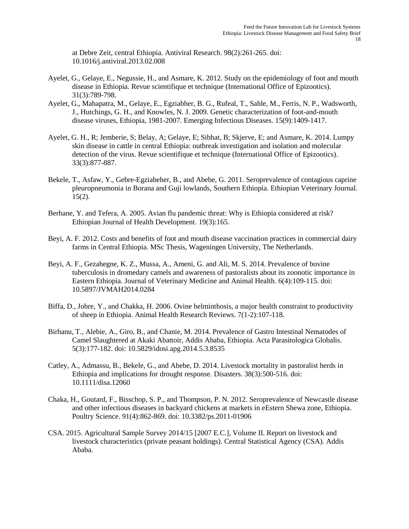at Debre Zeit, central Ethiopia. Antiviral Research. 98(2):261-265. doi: 10.1016/j.antiviral.2013.02.008

- Ayelet, G., Gelaye, E., Negussie, H., and Asmare, K. 2012. Study on the epidemiology of foot and mouth disease in Ethiopia. Revue scientifique et technique (International Office of Epizootics). 31(3):789-798.
- Ayelet, G., Mahapatra, M., Gelaye, E., Egziabher, B. G., Rufeal, T., Sahle, M., Ferris, N. P., Wadsworth, J., Hutchings, G. H., and Knowles, N. J. 2009. Genetic characterization of foot-and-mouth disease viruses, Ethiopia, 1981-2007. Emerging Infectious Diseases. 15(9):1409-1417.
- Ayelet, G. H., R; Jemberie, S; Belay, A; Gelaye, E; Sibhat, B; Skjerve, E; and Asmare, K. 2014. Lumpy skin disease in cattle in central Ethiopia: outbreak investigation and isolation and molecular detection of the virus. Revue scientifique et technique (International Office of Epizootics). 33(3):877-887.
- Bekele, T., Asfaw, Y., Gebre-Egziabeher, B., and Abebe, G. 2011. Seroprevalence of contagious caprine pleuropneumonia in Borana and Guji lowlands, Southern Ethiopia. Ethiopian Veterinary Journal.  $15(2)$ .
- Berhane, Y. and Tefera, A. 2005. Avian flu pandemic threat: Why is Ethiopia considered at risk? Ethiopian Journal of Health Development. 19(3):165.
- Beyi, A. F. 2012. Costs and benefits of foot and mouth disease vaccination practices in commercial dairy farms in Central Ethiopia. MSc Thesis, Wageningen University, The Netherlands.
- Beyi, A. F., Gezahegne, K. Z., Mussa, A., Ameni, G. and Ali, M. S. 2014. Prevalence of bovine tuberculosis in dromedary camels and awareness of pastoralists about its zoonotic importance in Eastern Ethiopia. Journal of Veterinary Medicine and Animal Health. 6(4):109-115. doi: 10.5897/JVMAH2014.0284
- Biffa, D., Jobre, Y., and Chakka, H. 2006. Ovine helminthosis, a major health constraint to productivity of sheep in Ethiopia. Animal Health Research Reviews. 7(1-2):107-118.
- Birhanu, T., Alebie, A., Giro, B., and Chanie, M. 2014. Prevalence of Gastro Intestinal Nematodes of Camel Slaughtered at Akaki Abattoir, Addis Ababa, Ethiopia. Acta Parasitologica Globalis. 5(3):177-182. doi: 10.5829/idosi.apg.2014.5.3.8535
- Catley, A., Admassu, B., Bekele, G., and Abebe, D. 2014. Livestock mortality in pastoralist herds in Ethiopia and implications for drought response. Disasters. 38(3):500-516. doi: 10.1111/disa.12060
- Chaka, H., Goutard, F., Bisschop, S. P., and Thompson, P. N. 2012. Seroprevalence of Newcastle disease and other infectious diseases in backyard chickens at markets in eEstern Shewa zone, Ethiopia. Poultry Science. 91(4):862-869. doi: 10.3382/ps.2011-01906
- CSA. 2015. Agricultural Sample Survey 2014/15 [2007 E.C.], Volume II. Report on livestock and livestock characteristics (private peasant holdings). Central Statistical Agency (CSA). Addis Ababa.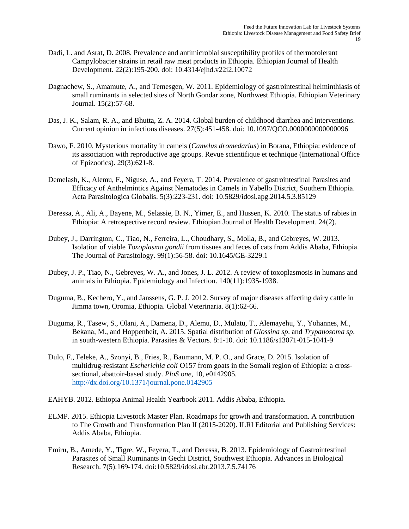- Dadi, L. and Asrat, D. 2008. Prevalence and antimicrobial susceptibility profiles of thermotolerant Campylobacter strains in retail raw meat products in Ethiopia. Ethiopian Journal of Health Development. 22(2):195-200. doi: 10.4314/ejhd.v22i2.10072
- Dagnachew, S., Amamute, A., and Temesgen, W. 2011. Epidemiology of gastrointestinal helminthiasis of small ruminants in selected sites of North Gondar zone, Northwest Ethiopia. Ethiopian Veterinary Journal. 15(2):57-68.
- Das, J. K., Salam, R. A., and Bhutta, Z. A. 2014. Global burden of childhood diarrhea and interventions. Current opinion in infectious diseases. 27(5):451-458. doi: 10.1097/QCO.0000000000000096
- Dawo, F. 2010. Mysterious mortality in camels (*Camelus dromedarius*) in Borana, Ethiopia: evidence of its association with reproductive age groups. Revue scientifique et technique (International Office of Epizootics). 29(3):621-8.
- Demelash, K., Alemu, F., Niguse, A., and Feyera, T. 2014. Prevalence of gastrointestinal Parasites and Efficacy of Anthelmintics Against Nematodes in Camels in Yabello District, Southern Ethiopia. Acta Parasitologica Globalis. 5(3):223-231. doi: 10.5829/idosi.apg.2014.5.3.85129
- Deressa, A., Ali, A., Bayene, M., Selassie, B. N., Yimer, E., and Hussen, K. 2010. The status of rabies in Ethiopia: A retrospective record review. Ethiopian Journal of Health Development. 24(2).
- Dubey, J., Darrington, C., Tiao, N., Ferreira, L., Choudhary, S., Molla, B., and Gebreyes, W. 2013. Isolation of viable *Toxoplasma gondii* from tissues and feces of cats from Addis Ababa, Ethiopia. The Journal of Parasitology. 99(1):56-58. doi: 10.1645/GE-3229.1
- Dubey, J. P., Tiao, N., Gebreyes, W. A., and Jones, J. L. 2012. A review of toxoplasmosis in humans and animals in Ethiopia. Epidemiology and Infection. 140(11):1935-1938.
- Duguma, B., Kechero, Y., and Janssens, G. P. J. 2012. Survey of major diseases affecting dairy cattle in Jimma town, Oromia, Ethiopia. Global Veterinaria. 8(1):62-66.
- Duguma, R., Tasew, S., Olani, A., Damena, D., Alemu, D., Mulatu, T., Alemayehu, Y., Yohannes, M., Bekana, M., and Hoppenheit, A. 2015. Spatial distribution of *Glossina sp*. and *Trypanosoma sp*. in south-western Ethiopia. Parasites & Vectors. 8:1-10. doi: 10.1186/s13071-015-1041-9
- Dulo, F., Feleke, A., Szonyi, B., Fries, R., Baumann, M. P. O., and Grace, D. 2015. Isolation of multidrug-resistant *Escherichia coli* O157 from goats in the Somali region of Ethiopia: a crosssectional, abattoir-based study. *PloS one*, 10, e0142905. <http://dx.doi.org/10.1371/journal.pone.0142905>
- EAHYB. 2012. Ethiopia Animal Health Yearbook 2011. Addis Ababa, Ethiopia.
- ELMP. 2015. Ethiopia Livestock Master Plan. Roadmaps for growth and transformation. A contribution to The Growth and Transformation Plan II (2015-2020). ILRI Editorial and Publishing Services: Addis Ababa, Ethiopia.
- Emiru, B., Amede, Y., Tigre, W., Feyera, T., and Deressa, B. 2013. Epidemiology of Gastrointestinal Parasites of Small Ruminants in Gechi District, Southwest Ethiopia. Advances in Biological Research. 7(5):169-174. doi:10.5829/idosi.abr.2013.7.5.74176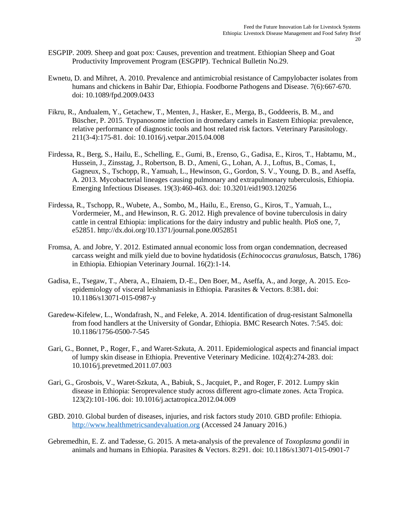- ESGPIP. 2009. Sheep and goat pox: Causes, prevention and treatment. Ethiopian Sheep and Goat Productivity Improvement Program (ESGPIP). Technical Bulletin No.29.
- Ewnetu, D. and Mihret, A. 2010. Prevalence and antimicrobial resistance of Campylobacter isolates from humans and chickens in Bahir Dar, Ethiopia. Foodborne Pathogens and Disease. 7(6):667-670. doi: 10.1089/fpd.2009.0433
- Fikru, R., Andualem, Y., Getachew, T., Menten, J., Hasker, E., Merga, B., Goddeeris, B. M., and Büscher, P. 2015. Trypanosome infection in dromedary camels in Eastern Ethiopia: prevalence, relative performance of diagnostic tools and host related risk factors. Veterinary Parasitology. 211(3-4):175-81. doi: 10.1016/j.vetpar.2015.04.008
- Firdessa, R., Berg, S., Hailu, E., Schelling, E., Gumi, B., Erenso, G., Gadisa, E., Kiros, T., Habtamu, M., Hussein, J., Zinsstag, J., Robertson, B. D., Ameni, G., Lohan, A. J., Loftus, B., Comas, I., Gagneux, S., Tschopp, R., Yamuah, L., Hewinson, G., Gordon, S. V., Young, D. B., and Aseffa, A. 2013. Mycobacterial lineages causing pulmonary and extrapulmonary tuberculosis, Ethiopia. Emerging Infectious Diseases. 19(3):460-463. doi: 10.3201/eid1903.120256
- Firdessa, R., Tschopp, R., Wubete, A., Sombo, M., Hailu, E., Erenso, G., Kiros, T., Yamuah, L., Vordermeier, M., and Hewinson, R. G. 2012. High prevalence of bovine tuberculosis in dairy cattle in central Ethiopia: implications for the dairy industry and public health. PloS one, 7, e52851. http://dx.doi.org/10.1371/journal.pone.0052851
- Fromsa, A. and Jobre, Y. 2012. Estimated annual economic loss from organ condemnation, decreased carcass weight and milk yield due to bovine hydatidosis (*Echinococcus granulosus*, Batsch, 1786) in Ethiopia. Ethiopian Veterinary Journal. 16(2):1-14.
- Gadisa, E., Tsegaw, T., Abera, A., Elnaiem, D.-E., Den Boer, M., Aseffa, A., and Jorge, A. 2015. Ecoepidemiology of visceral leishmaniasis in Ethiopia. Parasites & Vectors. 8:381**.** doi: 10.1186/s13071-015-0987-y
- Garedew-Kifelew, L., Wondafrash, N., and Feleke, A. 2014. Identification of drug-resistant Salmonella from food handlers at the University of Gondar, Ethiopia. BMC Research Notes. 7:545. doi: 10.1186/1756-0500-7-545
- Gari, G., Bonnet, P., Roger, F., and Waret-Szkuta, A. 2011. Epidemiological aspects and financial impact of lumpy skin disease in Ethiopia. Preventive Veterinary Medicine. 102(4):274-283. doi: 10.1016/j.prevetmed.2011.07.003
- Gari, G., Grosbois, V., Waret-Szkuta, A., Babiuk, S., Jacquiet, P., and Roger, F. 2012. Lumpy skin disease in Ethiopia: Seroprevalence study across different agro-climate zones. Acta Tropica. 123(2):101-106. doi: 10.1016/j.actatropica.2012.04.009
- GBD. 2010. Global burden of diseases, injuries, and risk factors study 2010. GBD profile: Ethiopia. [http://www.healthmetricsandevaluation.org](http://www.healthmetricsandevaluation.org/) (Accessed 24 January 2016.)
- Gebremedhin, E. Z. and Tadesse, G. 2015. A meta-analysis of the prevalence of *Toxoplasma gondii* in animals and humans in Ethiopia. Parasites & Vectors. 8:291. doi: 10.1186/s13071-015-0901-7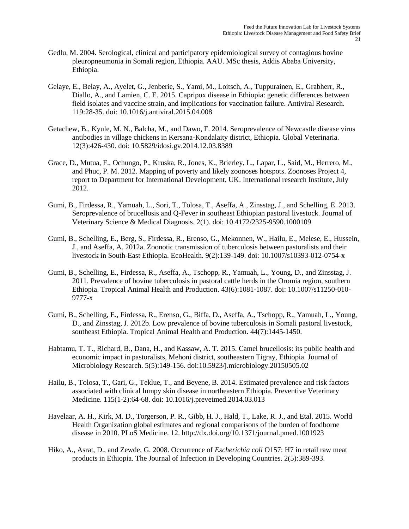- Gedlu, M. 2004. Serological, clinical and participatory epidemiological survey of contagious bovine pleuropneumonia in Somali region, Ethiopia. AAU. MSc thesis, Addis Ababa University, Ethiopia.
- Gelaye, E., Belay, A., Ayelet, G., Jenberie, S., Yami, M., Loitsch, A., Tuppurainen, E., Grabherr, R., Diallo, A., and Lamien, C. E. 2015. Capripox disease in Ethiopia: genetic differences between field isolates and vaccine strain, and implications for vaccination failure. Antiviral Research. 119:28-35. doi: 10.1016/j.antiviral.2015.04.008
- Getachew, B., Kyule, M. N., Balcha, M., and Dawo, F. 2014. Seroprevalence of Newcastle disease virus antibodies in village chickens in Kersana-Kondalaity district, Ethiopia. Global Veterinaria. 12(3):426-430. doi: 10.5829/idosi.gv.2014.12.03.8389
- Grace, D., Mutua, F., Ochungo, P., Kruska, R., Jones, K., Brierley, L., Lapar, L., Said, M., Herrero, M., and Phuc, P. M. 2012. Mapping of poverty and likely zoonoses hotspots. Zoonoses Project 4, report to Department for International Development, UK. International research Institute, July 2012.
- Gumi, B., Firdessa, R., Yamuah, L., Sori, T., Tolosa, T., Aseffa, A., Zinsstag, J., and Schelling, E. 2013. Seroprevalence of brucellosis and Q-Fever in southeast Ethiopian pastoral livestock. Journal of Veterinary Science & Medical Diagnosis. 2(1). doi: 10.4172/2325-9590.1000109
- Gumi, B., Schelling, E., Berg, S., Firdessa, R., Erenso, G., Mekonnen, W., Hailu, E., Melese, E., Hussein, J., and Aseffa, A. 2012a. Zoonotic transmission of tuberculosis between pastoralists and their livestock in South-East Ethiopia. EcoHealth. 9(2):139-149. doi: 10.1007/s10393-012-0754-x
- Gumi, B., Schelling, E., Firdessa, R., Aseffa, A., Tschopp, R., Yamuah, L., Young, D., and Zinsstag, J. 2011. Prevalence of bovine tuberculosis in pastoral cattle herds in the Oromia region, southern Ethiopia. Tropical Animal Health and Production. 43(6):1081-1087. doi: 10.1007/s11250-010- 9777-x
- Gumi, B., Schelling, E., Firdessa, R., Erenso, G., Biffa, D., Aseffa, A., Tschopp, R., Yamuah, L., Young, D., and Zinsstag, J. 2012b. Low prevalence of bovine tuberculosis in Somali pastoral livestock, southeast Ethiopia. Tropical Animal Health and Production. 44(7):1445-1450.
- Habtamu, T. T., Richard, B., Dana, H., and Kassaw, A. T. 2015. Camel brucellosis: its public health and economic impact in pastoralists, Mehoni district, southeastern Tigray, Ethiopia. Journal of Microbiology Research. 5(5):149-156. doi:10.5923/j.microbiology.20150505.02
- Hailu, B., Tolosa, T., Gari, G., Teklue, T., and Beyene, B. 2014. Estimated prevalence and risk factors associated with clinical lumpy skin disease in northeastern Ethiopia. Preventive Veterinary Medicine. 115(1-2):64-68. doi: 10.1016/j.prevetmed.2014.03.013
- Havelaar, A. H., Kirk, M. D., Torgerson, P. R., Gibb, H. J., Hald, T., Lake, R. J., and Etal. 2015. World Health Organization global estimates and regional comparisons of the burden of foodborne disease in 2010. PLoS Medicine. 12. http://dx.doi.org/10.1371/journal.pmed.1001923
- Hiko, A., Asrat, D., and Zewde, G. 2008. Occurrence of *Escherichia coli* O157: H7 in retail raw meat products in Ethiopia. The Journal of Infection in Developing Countries. 2(5):389-393.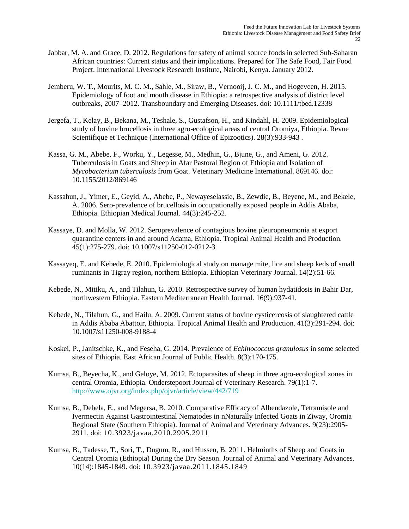- Jabbar, M. A. and Grace, D. 2012. Regulations for safety of animal source foods in selected Sub-Saharan African countries: Current status and their implications. Prepared for The Safe Food, Fair Food Project. International Livestock Research Institute, Nairobi, Kenya. January 2012.
- Jemberu, W. T., Mourits, M. C. M., Sahle, M., Siraw, B., Vernooij, J. C. M., and Hogeveen, H. 2015. Epidemiology of foot and mouth disease in Ethiopia: a retrospective analysis of district level outbreaks, 2007–2012. Transboundary and Emerging Diseases. doi: 10.1111/tbed.12338
- Jergefa, T., Kelay, B., Bekana, M., Teshale, S., Gustafson, H., and Kindahl, H. 2009. Epidemiological study of bovine brucellosis in three agro-ecological areas of central Oromiya, Ethiopia. Revue Scientifique et Technique (International Office of Epizootics). 28(3):933-943 .
- Kassa, G. M., Abebe, F., Worku, Y., Legesse, M., Medhin, G., Bjune, G., and Ameni, G. 2012. Tuberculosis in Goats and Sheep in Afar Pastoral Region of Ethiopia and Isolation of *Mycobacterium tuberculosis* from Goat. Veterinary Medicine International. 869146. doi: 10.1155/2012/869146
- Kassahun, J., Yimer, E., Geyid, A., Abebe, P., Newayeselassie, B., Zewdie, B., Beyene, M., and Bekele, A. 2006. Sero-prevalence of brucellosis in occupationally exposed people in Addis Ababa, Ethiopia. Ethiopian Medical Journal. 44(3):245-252.
- Kassaye, D. and Molla, W. 2012. Seroprevalence of contagious bovine pleuropneumonia at export quarantine centers in and around Adama, Ethiopia*.* Tropical Animal Health and Production. 45(1):275-279. doi: 10.1007/s11250-012-0212-3
- Kassayeq, E. and Kebede, E. 2010. Epidemiological study on manage mite, lice and sheep keds of small ruminants in Tigray region, northern Ethiopia. Ethiopian Veterinary Journal. 14(2):51-66.
- Kebede, N., Mitiku, A., and Tilahun, G. 2010. Retrospective survey of human hydatidosis in Bahir Dar, northwestern Ethiopia. Eastern Mediterranean Health Journal. 16(9):937-41.
- Kebede, N., Tilahun, G., and Hailu, A. 2009. Current status of bovine cysticercosis of slaughtered cattle in Addis Ababa Abattoir, Ethiopia. Tropical Animal Health and Production. 41(3):291-294. doi: 10.1007/s11250-008-9188-4
- Koskei, P., Janitschke, K., and Feseha, G. 2014. Prevalence of *Echinococcus granulosus* in some selected sites of Ethiopia. East African Journal of Public Health. 8(3):170-175.
- Kumsa, B., Beyecha, K., and Geloye, M. 2012. Ectoparasites of sheep in three agro-ecological zones in central Oromia, Ethiopia. Onderstepoort Journal of Veterinary Research. 79(1):1-7. <http://www.ojvr.org/index.php/ojvr/article/view/442/719>
- Kumsa, B., Debela, E., and Megersa, B. 2010. Comparative Efficacy of Albendazole, Tetramisole and Ivermectin Against Gastrointestinal Nematodes in nNaturally Infected Goats in Ziway, Oromia Regional State (Southern Ethiopia). Journal of Animal and Veterinary Advances. 9(23):2905- 2911. doi: [10.3923/javaa.2010.2905.2911](http://dx.doi.org/10.3923/javaa.2010.2905.2911)
- Kumsa, B., Tadesse, T., Sori, T., Dugum, R., and Hussen, B. 2011. Helminths of Sheep and Goats in Central Oromia (Ethiopia) During the Dry Season. Journal of Animal and Veterinary Advances. 10(14):1845-1849. doi: [10.3923/javaa.2011.1845.1849](http://dx.doi.org/10.3923/javaa.2011.1845.1849)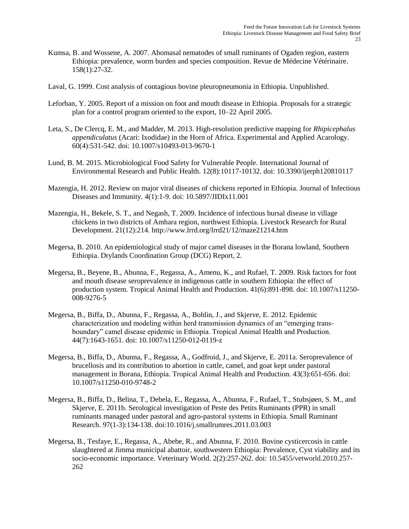- Kumsa, B. and Wossene, A. 2007. Abomasal nematodes of small ruminants of Ogaden region, eastern Ethiopia: prevalence, worm burden and species composition. Revue de Médecine Vétérinaire. 158(1):27-32.
- Laval, G. 1999. Cost analysis of contagious bovine pleuropneumonia in Ethiopia. Unpublished.
- Leforban, Y. 2005. Report of a mission on foot and mouth disease in Ethiopia. Proposals for a strategic plan for a control program oriented to the export, 10–22 April 2005.
- Leta, S., De Clercq, E. M., and Madder, M. 2013. High-resolution predictive mapping for *Rhipicephalus appendiculatus* (Acari: Ixodidae) in the Horn of Africa. Experimental and Applied Acarology. 60(4):531-542. doi: 10.1007/s10493-013-9670-1
- Lund, B. M. 2015. Microbiological Food Safety for Vulnerable People. International Journal of Environmental Research and Public Health. 12(8):10117-10132. doi: 10.3390/ijerph120810117
- Mazengia, H. 2012. Review on major viral diseases of chickens reported in Ethiopia. Journal of Infectious Diseases and Immunity*.* 4(1):1-9. doi: 10.5897/JIDIx11.001
- Mazengia, H., Bekele, S. T., and Negash, T. 2009. Incidence of infectious bursal disease in village chickens in two districts of Amhara region, northwest Ethiopia. Livestock Research for Rural Development. 21(12):214. http://www.lrrd.org/lrrd21/12/maze21214.htm
- Megersa, B. 2010. An epidemiological study of major camel diseases in the Borana lowland, Southern Ethiopia. Drylands Coordination Group (DCG) Report, 2.
- Megersa, B., Beyene, B., Abunna, F., Regassa, A., Amenu, K., and Rufael, T. 2009. Risk factors for foot and mouth disease seroprevalence in indigenous cattle in southern Ethiopia: the effect of production system. Tropical Animal Health and Production. 41(6):891-898. doi: 10.1007/s11250- 008-9276-5
- Megersa, B., Biffa, D., Abunna, F., Regassa, A., Bohlin, J., and Skjerve, E. 2012. Epidemic characterization and modeling within herd transmission dynamics of an "emerging transboundary" camel disease epidemic in Ethiopia. Tropical Animal Health and Production. 44(7):1643-1651. doi: 10.1007/s11250-012-0119-z
- Megersa, B., Biffa, D., Abunna, F., Regassa, A., Godfroid, J., and Skjerve, E. 2011a. Seroprevalence of brucellosis and its contribution to abortion in cattle, camel, and goat kept under pastoral management in Borana, Ethiopia. Tropical Animal Health and Production. 43(3):651-656. doi: 10.1007/s11250-010-9748-2
- Megersa, B., Biffa, D., Belina, T., Debela, E., Regassa, A., Abunna, F., Rufael, T., Stubsjøen, S. M., and Skjerve, E. 2011b. Serological investigation of Peste des Petits Ruminants (PPR) in small ruminants managed under pastoral and agro-pastoral systems in Ethiopia. Small Ruminant Research. 97(1-3):134-138. [doi:10.1016/j.smallrumres.2011.03.003](http://dx.doi.org/10.1016/j.smallrumres.2011.03.003)
- Megersa, B., Tesfaye, E., Regassa, A., Abebe, R., and Abunna, F. 2010. Bovine cysticercosis in cattle slaughtered at Jimma municipal abattoir, southwestern Ethiopia: Prevalence, Cyst viability and its socio-economic importance. Veterinary World. 2(2):257-262. doi: 10.5455/vetworld.2010.257- 262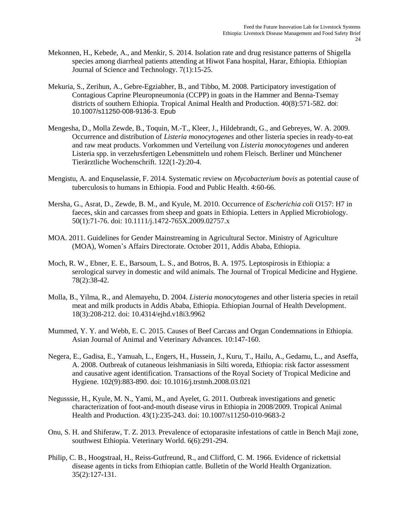- Mekonnen, H., Kebede, A., and Menkir, S. 2014. Isolation rate and drug resistance patterns of Shigella species among diarrheal patients attending at Hiwot Fana hospital, Harar, Ethiopia. Ethiopian Journal of Science and Technology*.* 7(1):15-25.
- Mekuria, S., Zerihun, A., Gebre-Egziabher, B., and Tibbo, M. 2008. Participatory investigation of Contagious Caprine Pleuropneumonia (CCPP) in goats in the Hammer and Benna-Tsemay districts of southern Ethiopia. Tropical Animal Health and Production. 40(8):571-582. doi: 10.1007/s11250-008-9136-3. Epub
- Mengesha, D., Molla Zewde, B., Toquin, M.-T., Kleer, J., Hildebrandt, G., and Gebreyes, W. A. 2009. Occurrence and distribution of *Listeria monocytogenes* and other listeria species in ready-to-eat and raw meat products. Vorkommen und Verteilung von *Listeria monocytogenes* und anderen Listeria spp. in verzehrsfertigen Lebensmitteln und rohem Fleisch. Berliner und Münchener Tierärztliche Wochenschrift. 122(1-2):20-4.
- Mengistu, A. and Enquselassie, F. 2014. Systematic review on *Mycobacterium bovis* as potential cause of tuberculosis to humans in Ethiopia. Food and Public Health. 4:60-66.
- Mersha, G., Asrat, D., Zewde, B. M., and Kyule, M. 2010. Occurrence of *Escherichia coli* O157: H7 in faeces, skin and carcasses from sheep and goats in Ethiopia. Letters in Applied Microbiology. 50(1):71-76. doi: 10.1111/j.1472-765X.2009.02757.x
- MOA. 2011. Guidelines for Gender Mainstreaming in Agricultural Sector. Ministry of Agriculture (MOA), Women's Affairs Directorate. October 2011, Addis Ababa, Ethiopia.
- Moch, R. W., Ebner, E. E., Barsoum, L. S., and Botros, B. A. 1975. Leptospirosis in Ethiopia: a serological survey in domestic and wild animals. The Journal of Tropical Medicine and Hygiene. 78(2):38-42.
- Molla, B., Yilma, R., and Alemayehu, D. 2004. *Listeria monocytogenes* and other listeria species in retail meat and milk products in Addis Ababa, Ethiopia. Ethiopian Journal of Health Development. 18(3):208-212. doi: 10.4314/ejhd.v18i3.9962
- Mummed, Y. Y. and Webb, E. C. 2015. Causes of Beef Carcass and Organ Condemnations in Ethiopia. Asian Journal of Animal and Veterinary Advances*.* 10:147-160.
- Negera, E., Gadisa, E., Yamuah, L., Engers, H., Hussein, J., Kuru, T., Hailu, A., Gedamu, L., and Aseffa, A. 2008. Outbreak of cutaneous leishmaniasis in Silti woreda, Ethiopia: risk factor assessment and causative agent identification. Transactions of the Royal Society of Tropical Medicine and Hygiene*.* 102(9):883-890. doi: 10.1016/j.trstmh.2008.03.021
- Negusssie, H., Kyule, M. N., Yami, M., and Ayelet, G. 2011. Outbreak investigations and genetic characterization of foot-and-mouth disease virus in Ethiopia in 2008/2009. Tropical Animal Health and Production. 43(1):235-243. doi: 10.1007/s11250-010-9683-2
- Onu, S. H. and Shiferaw, T. Z. 2013. Prevalence of ectoparasite infestations of cattle in Bench Maji zone, southwest Ethiopia. Veterinary World. 6(6):291-294.
- Philip, C. B., Hoogstraal, H., Reiss-Gutfreund, R., and Clifford, C. M. 1966. Evidence of rickettsial disease agents in ticks from Ethiopian cattle. Bulletin of the World Health Organization. 35(2):127-131.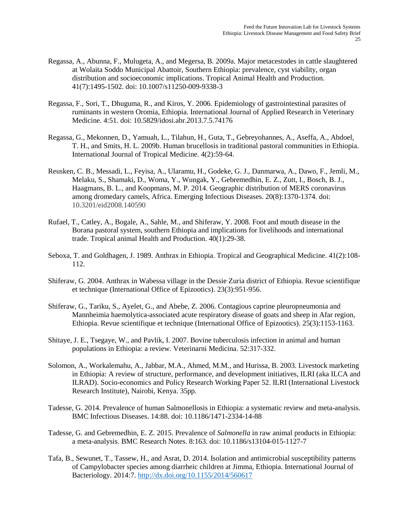- Regassa, A., Abunna, F., Mulugeta, A., and Megersa, B. 2009a. Major metacestodes in cattle slaughtered at Wolaita Soddo Municipal Abattoir, Southern Ethiopia: prevalence, cyst viability, organ distribution and socioeconomic implications. Tropical Animal Health and Production. 41(7):1495-1502. doi: 10.1007/s11250-009-9338-3
- Regassa, F., Sori, T., Dhuguma, R., and Kiros, Y. 2006. Epidemiology of gastrointestinal parasites of ruminants in western Oromia, Ethiopia. International Journal of Applied Research in Veterinary Medicine. 4:51. doi: 10.5829/idosi.abr.2013.7.5.74176
- Regassa, G., Mekonnen, D., Yamuah, L., Tilahun, H., Guta, T., Gebreyohannes, A., Aseffa, A., Abdoel, T. H., and Smits, H. L. 2009b. Human brucellosis in traditional pastoral communities in Ethiopia. International Journal of Tropical Medicine. 4(2):59-64.
- Reusken, C. B., Messadi, L., Feyisa, A., Ularamu, H., Godeke, G. J., Danmarwa, A., Dawo, F., Jemli, M., Melaku, S., Shamaki, D., Woma, Y., Wungak, Y., Gebremedhin, E. Z., Zutt, I., Bosch, B. J., Haagmans, B. L., and Koopmans, M. P. 2014. Geographic distribution of MERS coronavirus among dromedary camels, Africa. Emerging Infectious Diseases. 20(8):1370-1374. doi: 10.3201/eid2008.140590
- Rufael, T., Catley, A., Bogale, A., Sahle, M., and Shiferaw, Y. 2008. Foot and mouth disease in the Borana pastoral system, southern Ethiopia and implications for livelihoods and international trade. Tropical animal Health and Production. 40(1):29-38.
- Seboxa, T. and Goldhagen, J. 1989. Anthrax in Ethiopia. Tropical and Geographical Medicine. 41(2):108- 112.
- Shiferaw, G. 2004. Anthrax in Wabessa village in the Dessie Zuria district of Ethiopia. Revue scientifique et technique (International Office of Epizootics). 23(3):951-956.
- Shiferaw, G., Tariku, S., Ayelet, G., and Abebe, Z. 2006. Contagious caprine pleuropneumonia and Mannheimia haemolytica-associated acute respiratory disease of goats and sheep in Afar region, Ethiopia. Revue scientifique et technique (International Office of Epizootics). 25(3):1153-1163.
- Shitaye, J. E., Tsegaye, W., and Pavlik, I. 2007. Bovine tuberculosis infection in animal and human populations in Ethiopia: a review. Veterinarni Medicina. 52:317-332.
- Solomon, A., Workalemahu, A., Jabbar, M.A., Ahmed, M.M., and Hurissa, B. 2003. Livestock marketing in Ethiopia: A review of structure, performance, and development initiatives, ILRI (aka ILCA and ILRAD). Socio-economics and Policy Research Working Paper 52. ILRI (International Livestock Research Institute), Nairobi, Kenya. 35pp.
- Tadesse, G. 2014. Prevalence of human Salmonellosis in Ethiopia: a systematic review and meta-analysis. BMC Infectious Diseases. 14:88. doi: 10.1186/1471-2334-14-88
- Tadesse, G. and Gebremedhin, E. Z. 2015. Prevalence of *Salmonella* in raw animal products in Ethiopia: a meta-analysis. BMC Research Notes. 8:163. doi: 10.1186/s13104-015-1127-7
- Tafa, B., Sewunet, T., Tassew, H., and Asrat, D. 2014. Isolation and antimicrobial susceptibility patterns of Campylobacter species among diarrheic children at Jimma, Ethiopia. International Journal of Bacteriology. 2014:7.<http://dx.doi.org/10.1155/2014/560617>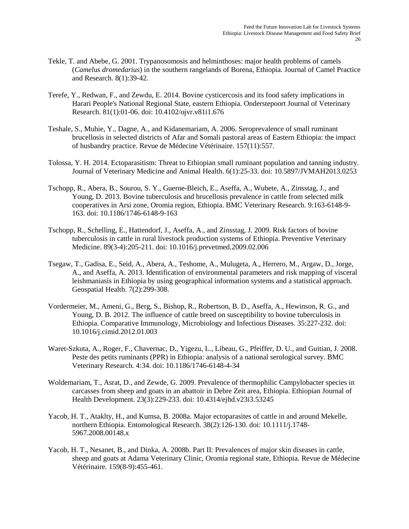- Tekle, T. and Abebe, G. 2001. Trypanosomosis and helminthoses: major health problems of camels (*Camelus dromedarius*) in the southern rangelands of Borena, Ethiopia. Journal of Camel Practice and Research. 8(1):39-42.
- Terefe, Y., Redwan, F., and Zewdu, E. 2014. Bovine cysticercosis and its food safety implications in Harari People's National Regional State, eastern Ethiopia. Onderstepoort Journal of Veterinary Research. 81(1):01-06. doi: 10.4102/ojvr.v81i1.676
- Teshale, S., Muhie, Y., Dagne, A., and Kidanemariam, A. 2006. Seroprevalence of small ruminant brucellosis in selected districts of Afar and Somali pastoral areas of Eastern Ethiopia: the impact of husbandry practice. Revue de Médecine Vétérinaire. 157(11):557.
- Tolossa, Y. H. 2014. Ectoparasitism: Threat to Ethiopian small ruminant population and tanning industry. Journal of Veterinary Medicine and Animal Health. 6(1):25-33. doi: 10.5897/JVMAH2013.0253
- Tschopp, R., Abera, B., Sourou, S. Y., Guerne-Bleich, E., Aseffa, A., Wubete, A., Zinsstag, J., and Young, D. 2013. Bovine tuberculosis and brucellosis prevalence in cattle from selected milk cooperatives in Arsi zone, Oromia region, Ethiopia. BMC Veterinary Research. 9:163-6148-9- 163. doi: 10.1186/1746-6148-9-163
- Tschopp, R., Schelling, E., Hattendorf, J., Aseffa, A., and Zinsstag, J. 2009. Risk factors of bovine tuberculosis in cattle in rural livestock production systems of Ethiopia. Preventive Veterinary Medicine. 89(3-4):205-211. doi: 10.1016/j.prevetmed.2009.02.006
- Tsegaw, T., Gadisa, E., Seid, A., Abera, A., Teshome, A., Mulugeta, A., Herrero, M., Argaw, D., Jorge, A., and Aseffa, A. 2013. Identification of environmental parameters and risk mapping of visceral leishmaniasis in Ethiopia by using geographical information systems and a statistical approach. Geospatial Health. 7(2):299-308.
- Vordermeier, M., Ameni, G., Berg, S., Bishop, R., Robertson, B. D., Aseffa, A., Hewinson, R. G., and Young, D. B. 2012. The influence of cattle breed on susceptibility to bovine tuberculosis in Ethiopia. Comparative Immunology, Microbiology and Infectious Diseases. 35:227-232. doi: 10.1016/j.cimid.2012.01.003
- Waret-Szkuta, A., Roger, F., Chavernac, D., Yigezu, L., Libeau, G., Pfeiffer, D. U., and Guitian, J. 2008. Peste des petits ruminants (PPR) in Ethiopia: analysis of a national serological survey. BMC Veterinary Research*.* 4:34. doi: 10.1186/1746-6148-4-34
- Woldemariam, T., Asrat, D., and Zewde, G. 2009. Prevalence of thermophilic Campylobacter species in carcasses from sheep and goats in an abattoir in Debre Zeit area, Ethiopia. Ethiopian Journal of Health Development. 23(3):229-233. doi: 10.4314/ejhd.v23i3.53245
- Yacob, H. T., Ataklty, H., and Kumsa, B. 2008a. Major ectoparasites of cattle in and around Mekelle, northern Ethiopia. Entomological Research. 38(2):126-130. doi: 10.1111/j.1748- 5967.2008.00148.x
- Yacob, H. T., Nesanet, B., and Dinka, A. 2008b. Part II: Prevalences of major skin diseases in cattle, sheep and goats at Adama Veterinary Clinic, Oromia regional state, Ethiopia. Revue de Médecine Vétérinaire*.* 159(8-9):455-461.